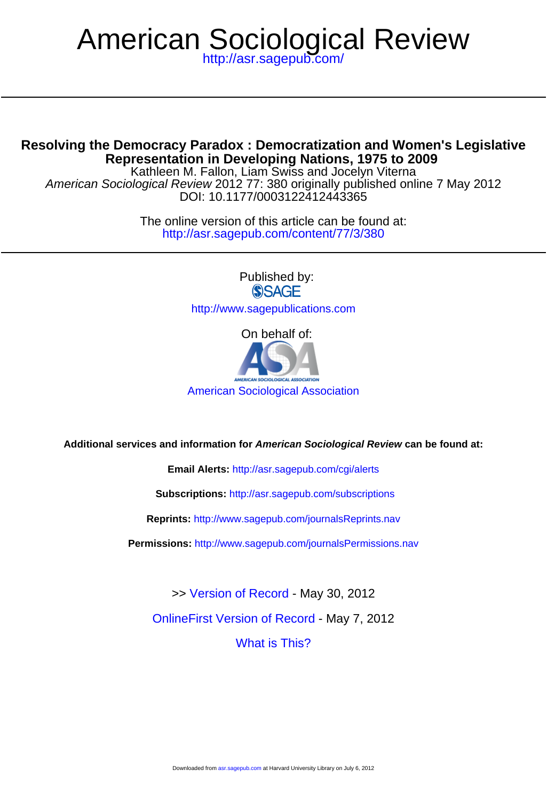# <http://asr.sagepub.com/> American Sociological Review

# **Representation in Developing Nations, 1975 to 2009 Resolving the Democracy Paradox : Democratization and Women's Legislative**

DOI: 10.1177/0003122412443365 American Sociological Review 2012 77: 380 originally published online 7 May 2012 Kathleen M. Fallon, Liam Swiss and Jocelyn Viterna

> <http://asr.sagepub.com/content/77/3/380> The online version of this article can be found at:



**Additional services and information for American Sociological Review can be found at:**

**Email Alerts:** <http://asr.sagepub.com/cgi/alerts>

**Subscriptions:** <http://asr.sagepub.com/subscriptions>

**Reprints:** <http://www.sagepub.com/journalsReprints.nav>

**Permissions:** <http://www.sagepub.com/journalsPermissions.nav>

[What is This?](http://online.sagepub.com/site/sphelp/vorhelp.xhtml) [OnlineFirst Version of Record -](http://asr.sagepub.com/content/early/2012/04/19/0003122412443365.full.pdf) May 7, 2012 >> [Version of Record -](http://asr.sagepub.com/content/77/3/380.full.pdf) May 30, 2012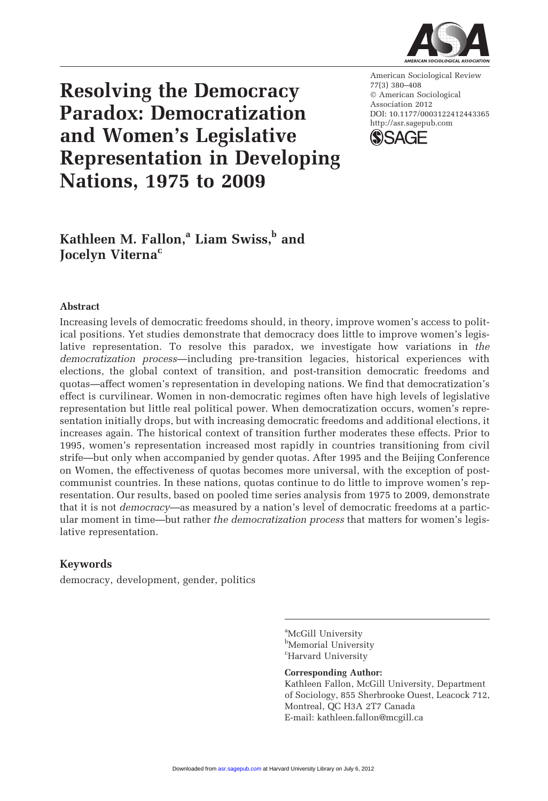

# Resolving the Democracy Paradox: Democratization and Women's Legislative Representation in Developing Nations, 1975 to 2009

American Sociological Review 77(3) 380–408  $©$  American Sociological Association 2012 DOI: 10.1177/0003122412443365 http://asr.sagepub.com



# Kathleen M. Fallon,<sup>a</sup> Liam Swiss,<sup>b</sup> and Jocelyn Viterna<sup>c</sup>

# Abstract

Increasing levels of democratic freedoms should, in theory, improve women's access to political positions. Yet studies demonstrate that democracy does little to improve women's legislative representation. To resolve this paradox, we investigate how variations in the democratization process—including pre-transition legacies, historical experiences with elections, the global context of transition, and post-transition democratic freedoms and quotas—affect women's representation in developing nations. We find that democratization's effect is curvilinear. Women in non-democratic regimes often have high levels of legislative representation but little real political power. When democratization occurs, women's representation initially drops, but with increasing democratic freedoms and additional elections, it increases again. The historical context of transition further moderates these effects. Prior to 1995, women's representation increased most rapidly in countries transitioning from civil strife—but only when accompanied by gender quotas. After 1995 and the Beijing Conference on Women, the effectiveness of quotas becomes more universal, with the exception of postcommunist countries. In these nations, quotas continue to do little to improve women's representation. Our results, based on pooled time series analysis from 1975 to 2009, demonstrate that it is not *democracy*—as measured by a nation's level of democratic freedoms at a particular moment in time—but rather the democratization process that matters for women's legislative representation.

# Keywords

democracy, development, gender, politics

<sup>a</sup>McGill University <sup>b</sup>Memorial University c Harvard University

Corresponding Author:

Kathleen Fallon, McGill University, Department of Sociology, 855 Sherbrooke Ouest, Leacock 712, Montreal, QC H3A 2T7 Canada E-mail: kathleen.fallon@mcgill.ca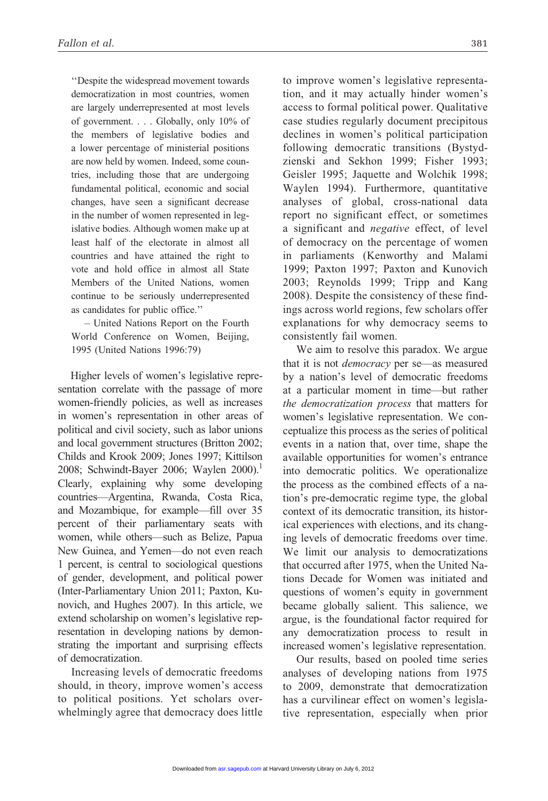''Despite the widespread movement towards democratization in most countries, women are largely underrepresented at most levels of government. . . . Globally, only 10% of the members of legislative bodies and a lower percentage of ministerial positions are now held by women. Indeed, some countries, including those that are undergoing fundamental political, economic and social changes, have seen a significant decrease in the number of women represented in legislative bodies. Although women make up at least half of the electorate in almost all countries and have attained the right to vote and hold office in almost all State Members of the United Nations, women continue to be seriously underrepresented as candidates for public office.''

– United Nations Report on the Fourth World Conference on Women, Beijing, 1995 (United Nations 1996:79)

Higher levels of women's legislative representation correlate with the passage of more women-friendly policies, as well as increases in women's representation in other areas of political and civil society, such as labor unions and local government structures (Britton 2002; Childs and Krook 2009; Jones 1997; Kittilson 2008; Schwindt-Bayer 2006; Waylen  $2000$ .<sup>1</sup> Clearly, explaining why some developing countries—Argentina, Rwanda, Costa Rica, and Mozambique, for example—fill over 35 percent of their parliamentary seats with women, while others—such as Belize, Papua New Guinea, and Yemen—do not even reach 1 percent, is central to sociological questions of gender, development, and political power (Inter-Parliamentary Union 2011; Paxton, Kunovich, and Hughes 2007). In this article, we extend scholarship on women's legislative representation in developing nations by demonstrating the important and surprising effects of democratization.

Increasing levels of democratic [freedoms](http://asr.sagepub.com/) should, in theory, improve women's access to political positions. Yet scholars overwhelmingly agree that democracy does little to improve women's legislative representation, and it may actually hinder women's access to formal political power. Qualitative case studies regularly document precipitous declines in women's political participation following democratic transitions (Bystydzienski and Sekhon 1999; Fisher 1993; Geisler 1995; Jaquette and Wolchik 1998; Waylen 1994). Furthermore, quantitative analyses of global, cross-national data report no significant effect, or sometimes a significant and negative effect, of level of democracy on the percentage of women in parliaments (Kenworthy and Malami 1999; Paxton 1997; Paxton and Kunovich 2003; Reynolds 1999; Tripp and Kang 2008). Despite the consistency of these findings across world regions, few scholars offer explanations for why democracy seems to consistently fail women.

We aim to resolve this paradox. We argue that it is not democracy per se—as measured by a nation's level of democratic freedoms at a particular moment in time—but rather the democratization process that matters for women's legislative representation. We conceptualize this process as the series of political events in a nation that, over time, shape the available opportunities for women's entrance into democratic politics. We operationalize the process as the combined effects of a nation's pre-democratic regime type, the global context of its democratic transition, its historical experiences with elections, and its changing levels of democratic freedoms over time. We limit our analysis to democratizations that occurred after 1975, when the United Nations Decade for Women was initiated and questions of women's equity in government became globally salient. This salience, we argue, is the foundational factor required for any democratization process to result in increased women's legislative representation.

Our results, based on pooled time series analyses of developing nations from 1975 to 2009, demonstrate that democratization has a curvilinear effect on women's legislative representation, especially when prior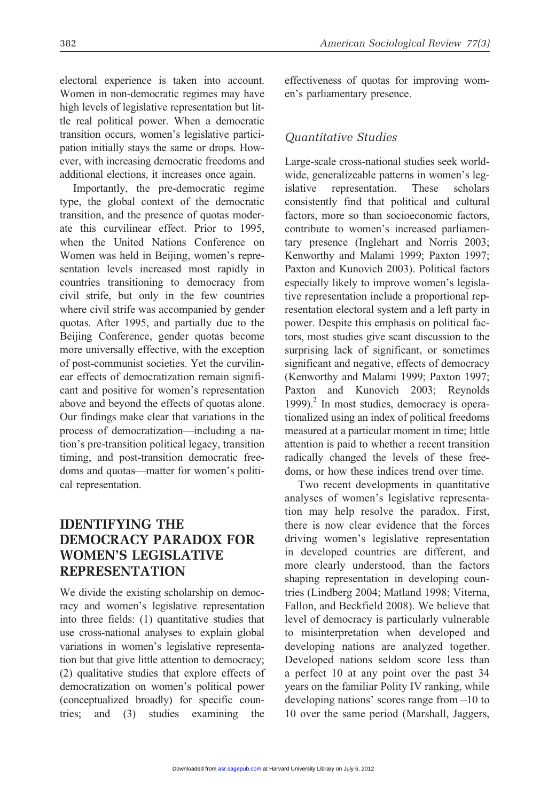electoral experience is taken into account. Women in non-democratic regimes may have high levels of legislative representation but little real political power. When a democratic transition occurs, women's legislative participation initially stays the same or drops. However, with increasing democratic freedoms and additional elections, it increases once again.

Importantly, the pre-democratic regime type, the global context of the democratic transition, and the presence of quotas moderate this curvilinear effect. Prior to 1995, when the United Nations Conference on Women was held in Beijing, women's representation levels increased most rapidly in countries transitioning to democracy from civil strife, but only in the few countries where civil strife was accompanied by gender quotas. After 1995, and partially due to the Beijing Conference, gender quotas become more universally effective, with the exception of post-communist societies. Yet the curvilinear effects of democratization remain significant and positive for women's representation above and beyond the effects of quotas alone. Our findings make clear that variations in the process of democratization—including a nation's pre-transition political legacy, transition timing, and post-transition democratic freedoms and quotas—matter for women's political representation.

# IDENTIFYING THE DEMOCRACY PARADOX FOR WOMEN'S LEGISLATIVE REPRESENTATION

We divide the existing scholarship on democracy and women's legislative representation into three fields: (1) quantitative studies that use cross-national analyses to explain global variations in women's legislative representation but that give little attention to democracy; (2) qualitative studies that explore [effects of](http://asr.sagepub.com/) democratization on women's political power (conceptualized broadly) for specific countries; and (3) studies examining the effectiveness of quotas for improving women's parliamentary presence.

#### Quantitative Studies

Large-scale cross-national studies seek worldwide, generalizeable patterns in women's legislative representation. These scholars consistently find that political and cultural factors, more so than socioeconomic factors, contribute to women's increased parliamentary presence (Inglehart and Norris 2003; Kenworthy and Malami 1999; Paxton 1997; Paxton and Kunovich 2003). Political factors especially likely to improve women's legislative representation include a proportional representation electoral system and a left party in power. Despite this emphasis on political factors, most studies give scant discussion to the surprising lack of significant, or sometimes significant and negative, effects of democracy (Kenworthy and Malami 1999; Paxton 1997; Paxton and Kunovich 2003; Reynolds 1999). $^2$  In most studies, democracy is operationalized using an index of political freedoms measured at a particular moment in time; little attention is paid to whether a recent transition radically changed the levels of these freedoms, or how these indices trend over time.

Two recent developments in quantitative analyses of women's legislative representation may help resolve the paradox. First, there is now clear evidence that the forces driving women's legislative representation in developed countries are different, and more clearly understood, than the factors shaping representation in developing countries (Lindberg 2004; Matland 1998; Viterna, Fallon, and Beckfield 2008). We believe that level of democracy is particularly vulnerable to misinterpretation when developed and developing nations are analyzed together. Developed nations seldom score less than a perfect 10 at any point over the past 34 years on the familiar Polity IV ranking, while developing nations' scores range from –10 to 10 over the same period (Marshall, Jaggers,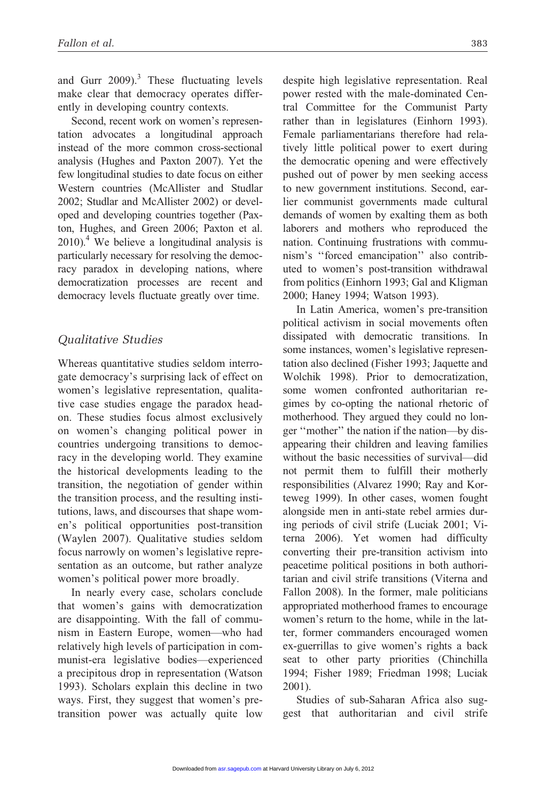and Gurr  $2009$ ).<sup>3</sup> These fluctuating levels make clear that democracy operates differently in developing country contexts.

Second, recent work on women's representation advocates a longitudinal approach instead of the more common cross-sectional analysis (Hughes and Paxton 2007). Yet the few longitudinal studies to date focus on either Western countries (McAllister and Studlar 2002; Studlar and McAllister 2002) or developed and developing countries together (Paxton, Hughes, and Green 2006; Paxton et al.  $2010$ .<sup>4</sup> We believe a longitudinal analysis is particularly necessary for resolving the democracy paradox in developing nations, where democratization processes are recent and democracy levels fluctuate greatly over time.

# Qualitative Studies

Whereas quantitative studies seldom interrogate democracy's surprising lack of effect on women's legislative representation, qualitative case studies engage the paradox headon. These studies focus almost exclusively on women's changing political power in countries undergoing transitions to democracy in the developing world. They examine the historical developments leading to the transition, the negotiation of gender within the transition process, and the resulting institutions, laws, and discourses that shape women's political opportunities post-transition (Waylen 2007). Qualitative studies seldom focus narrowly on women's legislative representation as an outcome, but rather analyze women's political power more broadly.

In nearly every case, scholars conclude that women's gains with democratization are disappointing. With the fall of communism in Eastern Europe, women—who had relatively high levels of participation in communist-era legislative bodies—experienced a precipitous drop in representatio[n \(Watson](http://asr.sagepub.com/) 1993). Scholars explain this decline in two ways. First, they suggest that women's pretransition power was actually quite low

despite high legislative representation. Real power rested with the male-dominated Central Committee for the Communist Party rather than in legislatures (Einhorn 1993). Female parliamentarians therefore had relatively little political power to exert during the democratic opening and were effectively pushed out of power by men seeking access to new government institutions. Second, earlier communist governments made cultural demands of women by exalting them as both laborers and mothers who reproduced the nation. Continuing frustrations with communism's ''forced emancipation'' also contributed to women's post-transition withdrawal from politics (Einhorn 1993; Gal and Kligman 2000; Haney 1994; Watson 1993).

In Latin America, women's pre-transition political activism in social movements often dissipated with democratic transitions. In some instances, women's legislative representation also declined (Fisher 1993; Jaquette and Wolchik 1998). Prior to democratization, some women confronted authoritarian regimes by co-opting the national rhetoric of motherhood. They argued they could no longer ''mother'' the nation if the nation—by disappearing their children and leaving families without the basic necessities of survival—did not permit them to fulfill their motherly responsibilities (Alvarez 1990; Ray and Korteweg 1999). In other cases, women fought alongside men in anti-state rebel armies during periods of civil strife (Luciak 2001; Viterna 2006). Yet women had difficulty converting their pre-transition activism into peacetime political positions in both authoritarian and civil strife transitions (Viterna and Fallon 2008). In the former, male politicians appropriated motherhood frames to encourage women's return to the home, while in the latter, former commanders encouraged women ex-guerrillas to give women's rights a back seat to other party priorities (Chinchilla 1994; Fisher 1989; Friedman 1998; Luciak 2001).

Studies of sub-Saharan Africa also suggest that authoritarian and civil strife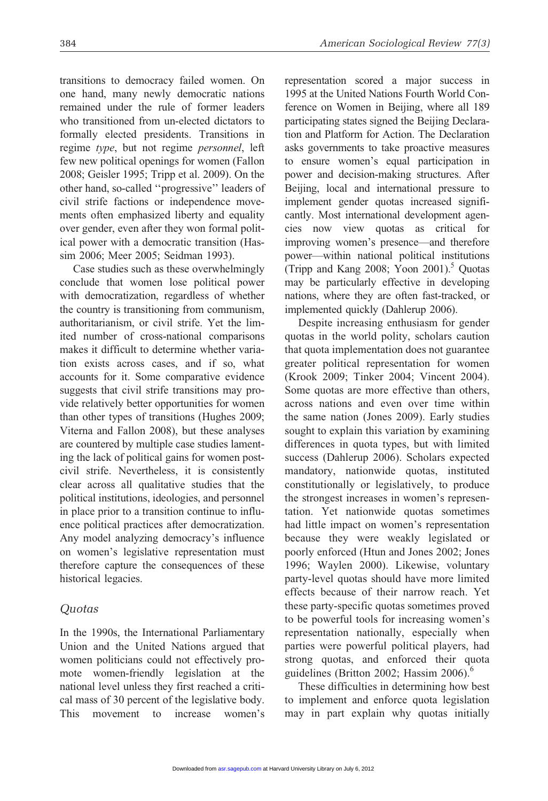transitions to democracy failed women. On one hand, many newly democratic nations remained under the rule of former leaders who transitioned from un-elected dictators to formally elected presidents. Transitions in regime type, but not regime personnel, left few new political openings for women (Fallon 2008; Geisler 1995; Tripp et al. 2009). On the other hand, so-called ''progressive'' leaders of civil strife factions or independence movements often emphasized liberty and equality over gender, even after they won formal political power with a democratic transition (Hassim 2006; Meer 2005; Seidman 1993).

Case studies such as these overwhelmingly conclude that women lose political power with democratization, regardless of whether the country is transitioning from communism, authoritarianism, or civil strife. Yet the limited number of cross-national comparisons makes it difficult to determine whether variation exists across cases, and if so, what accounts for it. Some comparative evidence suggests that civil strife transitions may provide relatively better opportunities for women than other types of transitions (Hughes 2009; Viterna and Fallon 2008), but these analyses are countered by multiple case studies lamenting the lack of political gains for women postcivil strife. Nevertheless, it is consistently clear across all qualitative studies that the political institutions, ideologies, and personnel in place prior to a transition continue to influence political practices after democratization. Any model analyzing democracy's influence on women's legislative representation must therefore capture the consequences of these historical legacies.

# Quotas

In the 1990s, the International Parliamentary Union and the United Nations argued that women politicians could not effectively promote women-friendly legislatio[n at the](http://asr.sagepub.com/) national level unless they first reached a critical mass of 30 percent of the legislative body. This movement to increase women's representation scored a major success in 1995 at the United Nations Fourth World Conference on Women in Beijing, where all 189 participating states signed the Beijing Declaration and Platform for Action. The Declaration asks governments to take proactive measures to ensure women's equal participation in power and decision-making structures. After Beijing, local and international pressure to implement gender quotas increased significantly. Most international development agencies now view quotas as critical for improving women's presence—and therefore power—within national political institutions (Tripp and Kang 2008; Yoon 2001).<sup>5</sup> Quotas may be particularly effective in developing nations, where they are often fast-tracked, or implemented quickly (Dahlerup 2006).

Despite increasing enthusiasm for gender quotas in the world polity, scholars caution that quota implementation does not guarantee greater political representation for women (Krook 2009; Tinker 2004; Vincent 2004). Some quotas are more effective than others, across nations and even over time within the same nation (Jones 2009). Early studies sought to explain this variation by examining differences in quota types, but with limited success (Dahlerup 2006). Scholars expected mandatory, nationwide quotas, instituted constitutionally or legislatively, to produce the strongest increases in women's representation. Yet nationwide quotas sometimes had little impact on women's representation because they were weakly legislated or poorly enforced (Htun and Jones 2002; Jones 1996; Waylen 2000). Likewise, voluntary party-level quotas should have more limited effects because of their narrow reach. Yet these party-specific quotas sometimes proved to be powerful tools for increasing women's representation nationally, especially when parties were powerful political players, had strong quotas, and enforced their quota guidelines (Britton 2002; Hassim  $2006$ ).<sup>6</sup>

These difficulties in determining how best to implement and enforce quota legislation may in part explain why quotas initially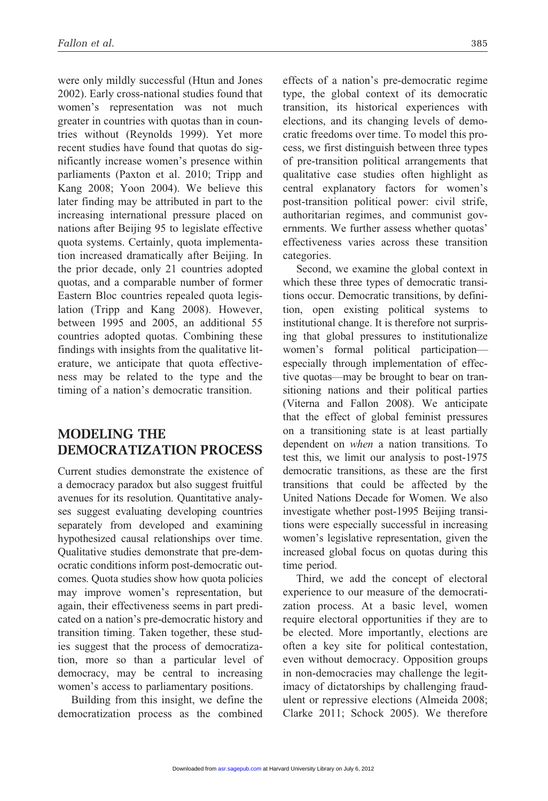were only mildly successful (Htun and Jones 2002). Early cross-national studies found that women's representation was not much greater in countries with quotas than in countries without (Reynolds 1999). Yet more recent studies have found that quotas do significantly increase women's presence within parliaments (Paxton et al. 2010; Tripp and Kang 2008; Yoon 2004). We believe this later finding may be attributed in part to the increasing international pressure placed on nations after Beijing 95 to legislate effective quota systems. Certainly, quota implementation increased dramatically after Beijing. In the prior decade, only 21 countries adopted quotas, and a comparable number of former Eastern Bloc countries repealed quota legislation (Tripp and Kang 2008). However, between 1995 and 2005, an additional 55 countries adopted quotas. Combining these findings with insights from the qualitative literature, we anticipate that quota effectiveness may be related to the type and the timing of a nation's democratic transition.

# MODELING THE DEMOCRATIZATION PROCESS

Current studies demonstrate the existence of a democracy paradox but also suggest fruitful avenues for its resolution. Quantitative analyses suggest evaluating developing countries separately from developed and examining hypothesized causal relationships over time. Qualitative studies demonstrate that pre-democratic conditions inform post-democratic outcomes. Quota studies show how quota policies may improve women's representation, but again, their effectiveness seems in part predicated on a nation's pre-democratic history and transition timing. Taken together, these studies suggest that the process of democratization, more so than a particular level of democracy, may be central to [increasing](http://asr.sagepub.com/) women's access to parliamentary positions.

Building from this insight, we define the democratization process as the combined effects of a nation's pre-democratic regime type, the global context of its democratic transition, its historical experiences with elections, and its changing levels of democratic freedoms over time. To model this process, we first distinguish between three types of pre-transition political arrangements that qualitative case studies often highlight as central explanatory factors for women's post-transition political power: civil strife, authoritarian regimes, and communist governments. We further assess whether quotas' effectiveness varies across these transition categories.

Second, we examine the global context in which these three types of democratic transitions occur. Democratic transitions, by definition, open existing political systems to institutional change. It is therefore not surprising that global pressures to institutionalize women's formal political participation especially through implementation of effective quotas—may be brought to bear on transitioning nations and their political parties (Viterna and Fallon 2008). We anticipate that the effect of global feminist pressures on a transitioning state is at least partially dependent on when a nation transitions. To test this, we limit our analysis to post-1975 democratic transitions, as these are the first transitions that could be affected by the United Nations Decade for Women. We also investigate whether post-1995 Beijing transitions were especially successful in increasing women's legislative representation, given the increased global focus on quotas during this time period.

Third, we add the concept of electoral experience to our measure of the democratization process. At a basic level, women require electoral opportunities if they are to be elected. More importantly, elections are often a key site for political contestation, even without democracy. Opposition groups in non-democracies may challenge the legitimacy of dictatorships by challenging fraudulent or repressive elections (Almeida 2008; Clarke 2011; Schock 2005). We therefore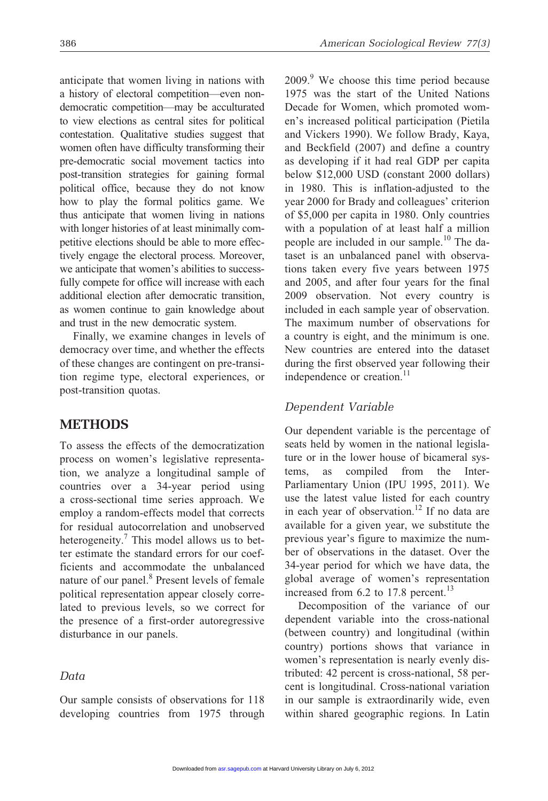anticipate that women living in nations with a history of electoral competition—even nondemocratic competition—may be acculturated to view elections as central sites for political contestation. Qualitative studies suggest that women often have difficulty transforming their pre-democratic social movement tactics into post-transition strategies for gaining formal political office, because they do not know how to play the formal politics game. We thus anticipate that women living in nations with longer histories of at least minimally competitive elections should be able to more effectively engage the electoral process. Moreover, we anticipate that women's abilities to successfully compete for office will increase with each additional election after democratic transition, as women continue to gain knowledge about and trust in the new democratic system.

Finally, we examine changes in levels of democracy over time, and whether the effects of these changes are contingent on pre-transition regime type, electoral experiences, or post-transition quotas.

# **METHODS**

To assess the effects of the democratization process on women's legislative representation, we analyze a longitudinal sample of countries over a 34-year period using a cross-sectional time series approach. We employ a random-effects model that corrects for residual autocorrelation and unobserved heterogeneity. $\frac{7}{1}$  This model allows us to better estimate the standard errors for our coefficients and accommodate the unbalanced nature of our panel.<sup>8</sup> Present levels of female political representation appear closely correlated to previous levels, so we correct for the presence of a first-order autoregressive disturbance in our panels.

# Data

Our sample consists of observations for 118 developing countries from 1975 through  $2009<sup>9</sup>$  We choose this time period because 1975 was the start of the United Nations Decade for Women, which promoted women's increased political participation (Pietila and Vickers 1990). We follow Brady, Kaya, and Beckfield (2007) and define a country as developing if it had real GDP per capita below \$12,000 USD (constant 2000 dollars) in 1980. This is inflation-adjusted to the year 2000 for Brady and colleagues' criterion of \$5,000 per capita in 1980. Only countries with a population of at least half a million people are included in our sample.<sup>10</sup> The dataset is an unbalanced panel with observations taken every five years between 1975 and 2005, and after four years for the final 2009 observation. Not every country is included in each sample year of observation. The maximum number of observations for a country is eight, and the minimum is one. New countries are entered into the dataset during the first observed year following their independence or creation.<sup>11</sup>

# Dependent Variable

Our dependent variable is the percentage of seats held by women in the national legislature or in the lower house of bicameral systems, as compiled from the Inter-Parliamentary Union (IPU 1995, 2011). We use the latest value listed for each country in each year of observation.<sup>12</sup> If no data are available for a given year, we substitute the previous year's figure to maximize the number of observations in the dataset. Over the 34-year period for which we have data, the global average of women's representation increased from  $6.2$  to  $17.8$  percent.<sup>13</sup>

Decomposition of the variance of our dependent variable into the cross-national (between country) and longitudinal (within country) portions shows that variance in women's representation is nearly evenly distributed: 42 percent is cross-national, 58 percent is longitudinal. Cross-national variation in our sample is extraordinarily wide, even within shared geographic regions. In Latin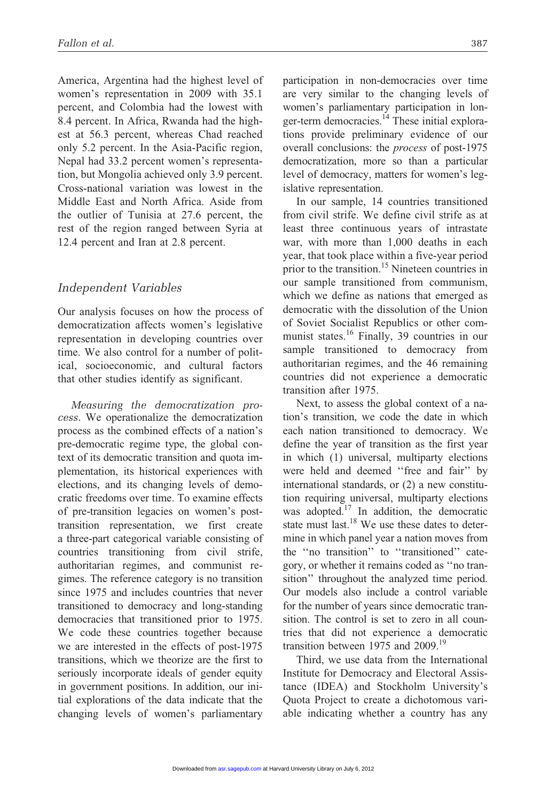America, Argentina had the highest level of women's representation in 2009 with 35.1 percent, and Colombia had the lowest with 8.4 percent. In Africa, Rwanda had the highest at 56.3 percent, whereas Chad reached only 5.2 percent. In the Asia-Pacific region, Nepal had 33.2 percent women's representation, but Mongolia achieved only 3.9 percent. Cross-national variation was lowest in the Middle East and North Africa. Aside from the outlier of Tunisia at 27.6 percent, the rest of the region ranged between Syria at 12.4 percent and Iran at 2.8 percent.

# Independent Variables

Our analysis focuses on how the process of democratization affects women's legislative representation in developing countries over time. We also control for a number of political, socioeconomic, and cultural factors that other studies identify as significant.

Measuring the democratization process. We operationalize the democratization process as the combined effects of a nation's pre-democratic regime type, the global context of its democratic transition and quota implementation, its historical experiences with elections, and its changing levels of democratic freedoms over time. To examine effects of pre-transition legacies on women's posttransition representation, we first create a three-part categorical variable consisting of countries transitioning from civil strife, authoritarian regimes, and communist regimes. The reference category is no transition since 1975 and includes countries that never transitioned to democracy and long-standing democracies that transitioned prior to 1975. We code these countries together because we are interested in the effects of post-1975 transitions, which we theorize are the first to seriously incorporate ideals of gen[der equity](http://asr.sagepub.com/) in government positions. In addition, our initial explorations of the data indicate that the changing levels of women's parliamentary participation in non-democracies over time are very similar to the changing levels of women's parliamentary participation in longer-term democracies.<sup>14</sup> These initial explorations provide preliminary evidence of our overall conclusions: the process of post-1975 democratization, more so than a particular level of democracy, matters for women's legislative representation.

In our sample, 14 countries transitioned from civil strife. We define civil strife as at least three continuous years of intrastate war, with more than 1,000 deaths in each year, that took place within a five-year period prior to the transition.<sup>15</sup> Nineteen countries in our sample transitioned from communism, which we define as nations that emerged as democratic with the dissolution of the Union of Soviet Socialist Republics or other communist states.<sup>16</sup> Finally, 39 countries in our sample transitioned to democracy from authoritarian regimes, and the 46 remaining countries did not experience a democratic transition after 1975.

Next, to assess the global context of a nation's transition, we code the date in which each nation transitioned to democracy. We define the year of transition as the first year in which (1) universal, multiparty elections were held and deemed ''free and fair'' by international standards, or (2) a new constitution requiring universal, multiparty elections was adopted.<sup>17</sup> In addition, the democratic state must last.<sup>18</sup> We use these dates to determine in which panel year a nation moves from the ''no transition'' to ''transitioned'' category, or whether it remains coded as ''no transition'' throughout the analyzed time period. Our models also include a control variable for the number of years since democratic transition. The control is set to zero in all countries that did not experience a democratic transition between 1975 and 2009.19

Third, we use data from the International Institute for Democracy and Electoral Assistance (IDEA) and Stockholm University's Quota Project to create a dichotomous variable indicating whether a country has any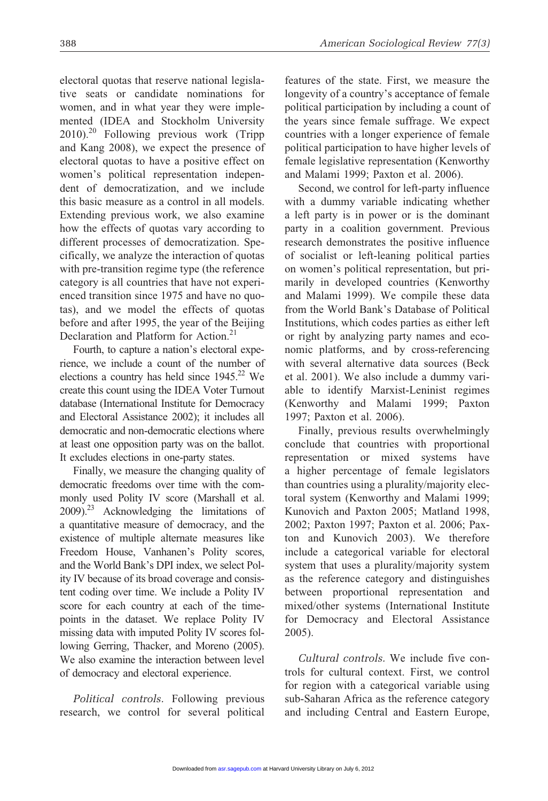electoral quotas that reserve national legislative seats or candidate nominations for women, and in what year they were implemented (IDEA and Stockholm University  $2010$ <sup>20</sup> Following previous work (Tripp) and Kang 2008), we expect the presence of electoral quotas to have a positive effect on women's political representation independent of democratization, and we include this basic measure as a control in all models. Extending previous work, we also examine how the effects of quotas vary according to different processes of democratization. Specifically, we analyze the interaction of quotas with pre-transition regime type (the reference category is all countries that have not experienced transition since 1975 and have no quotas), and we model the effects of quotas before and after 1995, the year of the Beijing Declaration and Platform for Action.<sup>21</sup>

Fourth, to capture a nation's electoral experience, we include a count of the number of elections a country has held since  $1945<sup>22</sup>$  We create this count using the IDEA Voter Turnout database (International Institute for Democracy and Electoral Assistance 2002); it includes all democratic and non-democratic elections where at least one opposition party was on the ballot. It excludes elections in one-party states.

Finally, we measure the changing quality of democratic freedoms over time with the commonly used Polity IV score (Marshall et al. 2009).23 Acknowledging the limitations of a quantitative measure of democracy, and the existence of multiple alternate measures like Freedom House, Vanhanen's Polity scores, and the World Bank's DPI index, we select Polity IV because of its broad coverage and consistent coding over time. We include a Polity IV score for each country at each of the timepoints in the dataset. We replace Polity IV missing data with imputed Polity IV scores following Gerring, Thacker, and Moreno (2005). We also examine the interaction between level of democracy and electoral experie[nce.](http://asr.sagepub.com/)

Political controls. Following previous research, we control for several political features of the state. First, we measure the longevity of a country's acceptance of female political participation by including a count of the years since female suffrage. We expect countries with a longer experience of female political participation to have higher levels of female legislative representation (Kenworthy and Malami 1999; Paxton et al. 2006).

Second, we control for left-party influence with a dummy variable indicating whether a left party is in power or is the dominant party in a coalition government. Previous research demonstrates the positive influence of socialist or left-leaning political parties on women's political representation, but primarily in developed countries (Kenworthy and Malami 1999). We compile these data from the World Bank's Database of Political Institutions, which codes parties as either left or right by analyzing party names and economic platforms, and by cross-referencing with several alternative data sources (Beck et al. 2001). We also include a dummy variable to identify Marxist-Leninist regimes (Kenworthy and Malami 1999; Paxton 1997; Paxton et al. 2006).

Finally, previous results overwhelmingly conclude that countries with proportional representation or mixed systems have a higher percentage of female legislators than countries using a plurality/majority electoral system (Kenworthy and Malami 1999; Kunovich and Paxton 2005; Matland 1998, 2002; Paxton 1997; Paxton et al. 2006; Paxton and Kunovich 2003). We therefore include a categorical variable for electoral system that uses a plurality/majority system as the reference category and distinguishes between proportional representation and mixed/other systems (International Institute for Democracy and Electoral Assistance 2005).

Cultural controls. We include five controls for cultural context. First, we control for region with a categorical variable using sub-Saharan Africa as the reference category and including Central and Eastern Europe,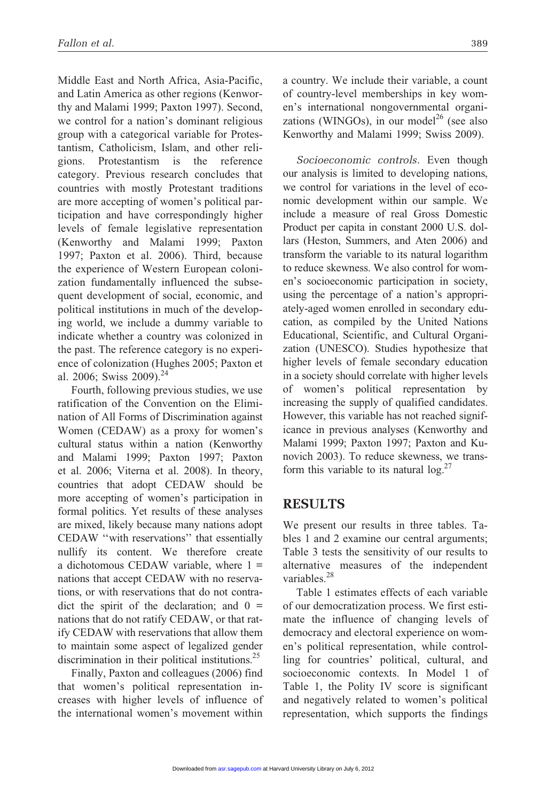Middle East and North Africa, Asia-Pacific, and Latin America as other regions (Kenworthy and Malami 1999; Paxton 1997). Second, we control for a nation's dominant religious group with a categorical variable for Protestantism, Catholicism, Islam, and other religions. Protestantism is the reference category. Previous research concludes that countries with mostly Protestant traditions are more accepting of women's political participation and have correspondingly higher levels of female legislative representation (Kenworthy and Malami 1999; Paxton 1997; Paxton et al. 2006). Third, because the experience of Western European colonization fundamentally influenced the subsequent development of social, economic, and political institutions in much of the developing world, we include a dummy variable to indicate whether a country was colonized in the past. The reference category is no experience of colonization (Hughes 2005; Paxton et al. 2006; Swiss 2009).<sup>24</sup>

Fourth, following previous studies, we use ratification of the Convention on the Elimination of All Forms of Discrimination against Women (CEDAW) as a proxy for women's cultural status within a nation (Kenworthy and Malami 1999; Paxton 1997; Paxton et al. 2006; Viterna et al. 2008). In theory, countries that adopt CEDAW should be more accepting of women's participation in formal politics. Yet results of these analyses are mixed, likely because many nations adopt CEDAW ''with reservations'' that essentially nullify its content. We therefore create a dichotomous CEDAW variable, where 1 = nations that accept CEDAW with no reservations, or with reservations that do not contradict the spirit of the declaration; and  $0 =$ nations that do not ratify CEDAW, or that ratify CEDAW with reservations that allow them to maintain some aspect of legalized gender discrimination in their political institutions.<sup>25</sup>

Finally, Paxton and colleagues ([2006\) find](http://asr.sagepub.com/) that women's political representation increases with higher levels of influence of the international women's movement within a country. We include their variable, a count of country-level memberships in key women's international nongovernmental organizations (WINGOs), in our model<sup>26</sup> (see also Kenworthy and Malami 1999; Swiss 2009).

Socioeconomic controls. Even though our analysis is limited to developing nations, we control for variations in the level of economic development within our sample. We include a measure of real Gross Domestic Product per capita in constant 2000 U.S. dollars (Heston, Summers, and Aten 2006) and transform the variable to its natural logarithm to reduce skewness. We also control for women's socioeconomic participation in society, using the percentage of a nation's appropriately-aged women enrolled in secondary education, as compiled by the United Nations Educational, Scientific, and Cultural Organization (UNESCO). Studies hypothesize that higher levels of female secondary education in a society should correlate with higher levels of women's political representation by increasing the supply of qualified candidates. However, this variable has not reached significance in previous analyses (Kenworthy and Malami 1999; Paxton 1997; Paxton and Kunovich 2003). To reduce skewness, we transform this variable to its natural  $log.<sup>27</sup>$ 

# RESULTS

We present our results in three tables. Tables 1 and 2 examine our central arguments; Table 3 tests the sensitivity of our results to alternative measures of the independent variables.<sup>28</sup>

Table 1 estimates effects of each variable of our democratization process. We first estimate the influence of changing levels of democracy and electoral experience on women's political representation, while controlling for countries' political, cultural, and socioeconomic contexts. In Model 1 of Table 1, the Polity IV score is significant and negatively related to women's political representation, which supports the findings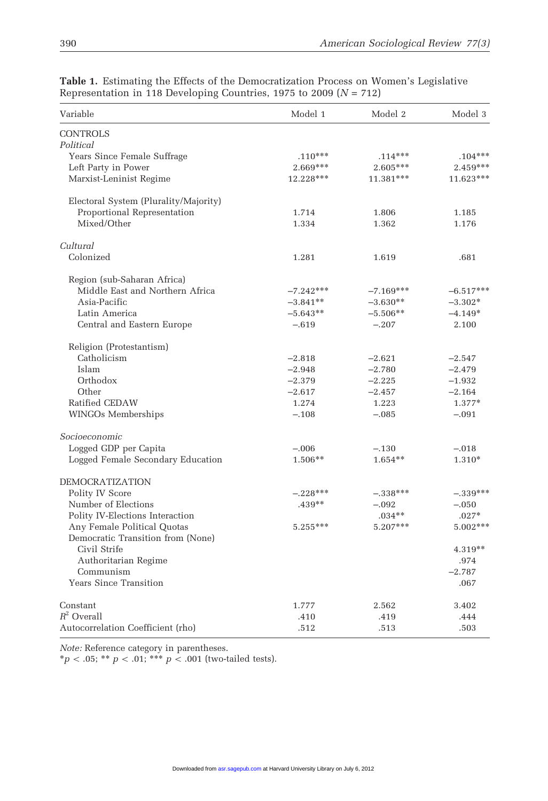| Variable                              | Model 1     | Model 2     | Model 3     |
|---------------------------------------|-------------|-------------|-------------|
| <b>CONTROLS</b>                       |             |             |             |
| Political                             |             |             |             |
| Years Since Female Suffrage           | $.110***$   | $.114***$   | $.104***$   |
| Left Party in Power                   | 2.669***    | 2.605***    | $2.459***$  |
| Marxist-Leninist Regime               | 12.228***   | 11.381***   | 11.623***   |
| Electoral System (Plurality/Majority) |             |             |             |
| Proportional Representation           | 1.714       | 1.806       | 1.185       |
| Mixed/Other                           | 1.334       | 1.362       | 1.176       |
| Cultural                              |             |             |             |
| Colonized                             | 1.281       | 1.619       | .681        |
| Region (sub-Saharan Africa)           |             |             |             |
| Middle East and Northern Africa       | $-7.242***$ | $-7.169***$ | $-6.517***$ |
| Asia-Pacific                          | $-3.841**$  | $-3.630**$  | $-3.302*$   |
| Latin America                         | $-5.643**$  | $-5.506**$  | $-4.149*$   |
| Central and Eastern Europe            | $-.619$     | $-.207$     | 2.100       |
| Religion (Protestantism)              |             |             |             |
| Catholicism                           | $-2.818$    | $-2.621$    | $-2.547$    |
| Islam                                 | $-2.948$    | $-2.780$    | $-2.479$    |
| Orthodox                              | $-2.379$    | $-2.225$    | $-1.932$    |
| Other                                 | $-2.617$    | $-2.457$    | $-2.164$    |
| Ratified CEDAW                        | 1.274       | 1.223       | 1.377*      |
| WINGOs Memberships                    | $-.108$     | $-.085$     | $-.091$     |
| Socioeconomic                         |             |             |             |
| Logged GDP per Capita                 | $-.006$     | $-.130$     | $-.018$     |
| Logged Female Secondary Education     | $1.506**$   | $1.654**$   | 1.310*      |
| DEMOCRATIZATION                       |             |             |             |
| Polity IV Score                       | $-.228***$  | $-.338***$  | $-.339***$  |
| Number of Elections                   | .439**      | $-.092$     | $-.050$     |
| Polity IV-Elections Interaction       |             | $.034**$    | $.027*$     |
| Any Female Political Quotas           | $5.255***$  | 5.207***    | $5.002***$  |
| Democratic Transition from (None)     |             |             |             |
| Civil Strife                          |             |             | 4.319**     |
| Authoritarian Regime<br>Communism     |             |             | .974        |
| Years Since Transition                |             |             | $-2.787$    |
|                                       |             |             | .067        |
| Constant                              | 1.777       | 2.562       | 3.402       |
| $R^2$ Overall                         | .410        | .419        | .444        |
| Autocorrelation Coefficient (rho)     | .512        | .513        | .503        |

Table 1. Estimating the Effects of the Democratization Process on Women's Legislative Representation in 118 Developing Countries, 1975 to 2009 ( $N$  = 712)

Note: Reference category in parentheses.

 ${}^{*}p$  < .05; \*\* p < .01; \*\*\* p < .001 (two-tailed tests).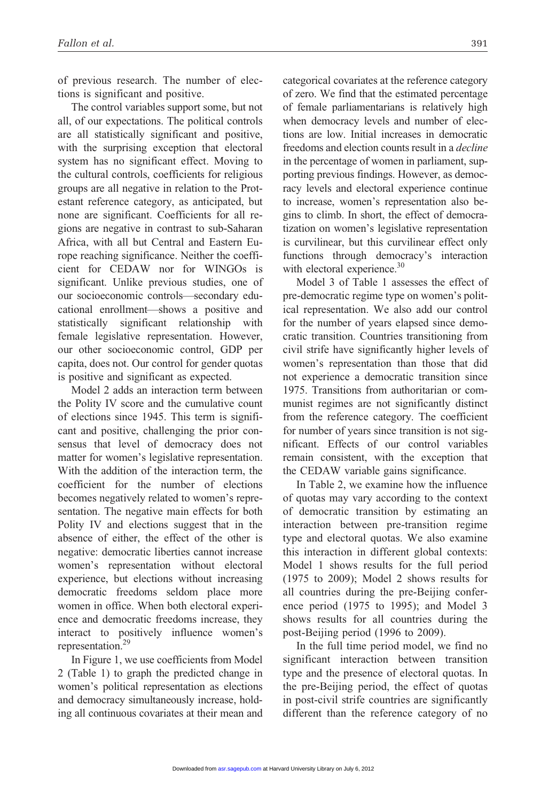of previous research. The number of elections is significant and positive.

The control variables support some, but not all, of our expectations. The political controls are all statistically significant and positive, with the surprising exception that electoral system has no significant effect. Moving to the cultural controls, coefficients for religious groups are all negative in relation to the Protestant reference category, as anticipated, but none are significant. Coefficients for all regions are negative in contrast to sub-Saharan Africa, with all but Central and Eastern Europe reaching significance. Neither the coefficient for CEDAW nor for WINGOs is significant. Unlike previous studies, one of our socioeconomic controls—secondary educational enrollment—shows a positive and statistically significant relationship with female legislative representation. However, our other socioeconomic control, GDP per capita, does not. Our control for gender quotas is positive and significant as expected.

Model 2 adds an interaction term between the Polity IV score and the cumulative count of elections since 1945. This term is significant and positive, challenging the prior consensus that level of democracy does not matter for women's legislative representation. With the addition of the interaction term, the coefficient for the number of elections becomes negatively related to women's representation. The negative main effects for both Polity IV and elections suggest that in the absence of either, the effect of the other is negative: democratic liberties cannot increase women's representation without electoral experience, but elections without increasing democratic freedoms seldom place more women in office. When both electoral experience and democratic freedoms increase, they interact to positively influence women's representation.29

In Figure 1, we use coefficients from Model 2 (Table 1) to graph the predicted [change in](http://asr.sagepub.com/) women's political representation as elections and democracy simultaneously increase, holding all continuous covariates at their mean and categorical covariates at the reference category of zero. We find that the estimated percentage of female parliamentarians is relatively high when democracy levels and number of elections are low. Initial increases in democratic freedoms and election counts result in a decline in the percentage of women in parliament, supporting previous findings. However, as democracy levels and electoral experience continue to increase, women's representation also begins to climb. In short, the effect of democratization on women's legislative representation is curvilinear, but this curvilinear effect only functions through democracy's interaction with electoral experience.<sup>30</sup>

Model 3 of Table 1 assesses the effect of pre-democratic regime type on women's political representation. We also add our control for the number of years elapsed since democratic transition. Countries transitioning from civil strife have significantly higher levels of women's representation than those that did not experience a democratic transition since 1975. Transitions from authoritarian or communist regimes are not significantly distinct from the reference category. The coefficient for number of years since transition is not significant. Effects of our control variables remain consistent, with the exception that the CEDAW variable gains significance.

In Table 2, we examine how the influence of quotas may vary according to the context of democratic transition by estimating an interaction between pre-transition regime type and electoral quotas. We also examine this interaction in different global contexts: Model 1 shows results for the full period (1975 to 2009); Model 2 shows results for all countries during the pre-Beijing conference period (1975 to 1995); and Model 3 shows results for all countries during the post-Beijing period (1996 to 2009).

In the full time period model, we find no significant interaction between transition type and the presence of electoral quotas. In the pre-Beijing period, the effect of quotas in post-civil strife countries are significantly different than the reference category of no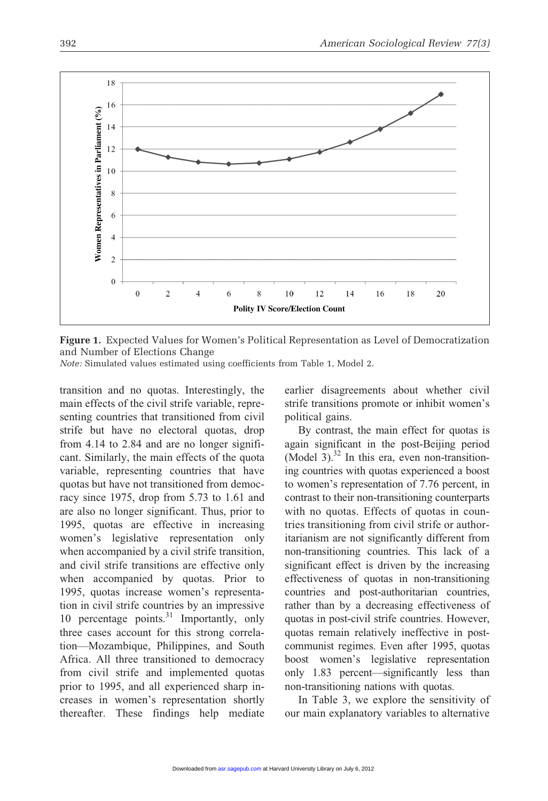

Figure 1. Expected Values for Women's Political Representation as Level of Democratization and Number of Elections Change

Note: Simulated values estimated using coefficients from Table 1, Model 2.

transition and no quotas. Interestingly, the main effects of the civil strife variable, representing countries that transitioned from civil strife but have no electoral quotas, drop from 4.14 to 2.84 and are no longer significant. Similarly, the main effects of the quota variable, representing countries that have quotas but have not transitioned from democracy since 1975, drop from 5.73 to 1.61 and are also no longer significant. Thus, prior to 1995, quotas are effective in increasing women's legislative representation only when accompanied by a civil strife transition, and civil strife transitions are effective only when accompanied by quotas. Prior to 1995, quotas increase women's representation in civil strife countries by an impressive 10 percentage points.<sup>31</sup> Importantly, only three cases account for this strong correlation—Mozambique, Philippines, and South Africa. All three transitioned to democracy from civil strife and implemen[ted quotas](http://asr.sagepub.com/) prior to 1995, and all experienced sharp increases in women's representation shortly thereafter. These findings help mediate

earlier disagreements about whether civil strife transitions promote or inhibit women's political gains.

By contrast, the main effect for quotas is again significant in the post-Beijing period (Model 3). $^{32}$  In this era, even non-transitioning countries with quotas experienced a boost to women's representation of 7.76 percent, in contrast to their non-transitioning counterparts with no quotas. Effects of quotas in countries transitioning from civil strife or authoritarianism are not significantly different from non-transitioning countries. This lack of a significant effect is driven by the increasing effectiveness of quotas in non-transitioning countries and post-authoritarian countries, rather than by a decreasing effectiveness of quotas in post-civil strife countries. However, quotas remain relatively ineffective in postcommunist regimes. Even after 1995, quotas boost women's legislative representation only 1.83 percent—significantly less than non-transitioning nations with quotas.

In Table 3, we explore the sensitivity of our main explanatory variables to alternative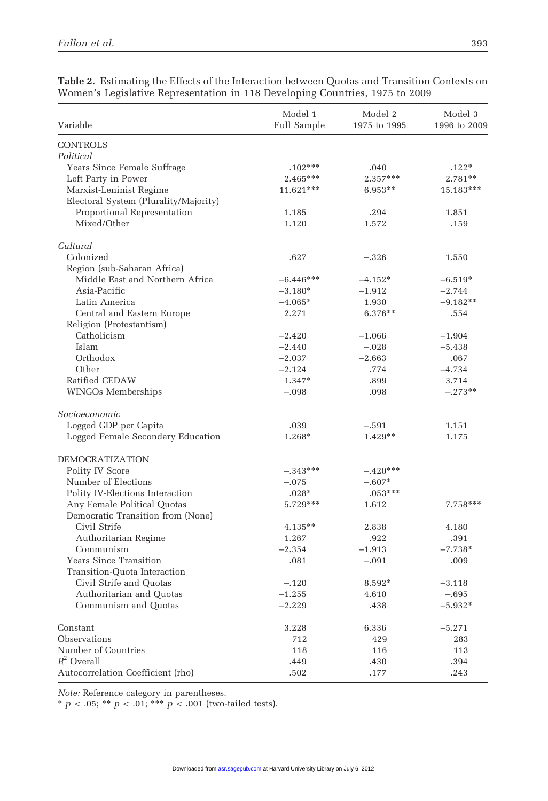#### Fallon et al. 393

| Variable                              | Model 1<br>Full Sample | Model 2<br>1975 to 1995 | Model 3<br>1996 to 2009 |
|---------------------------------------|------------------------|-------------------------|-------------------------|
| <b>CONTROLS</b>                       |                        |                         |                         |
| Political                             |                        |                         |                         |
| Years Since Female Suffrage           | $.102***$              | .040                    | $.122*$                 |
| Left Party in Power                   | $2.465***$             | 2.357***                | $2.781**$               |
| Marxist-Leninist Regime               | 11.621***              | $6.953**$               | 15.183***               |
| Electoral System (Plurality/Majority) |                        |                         |                         |
| Proportional Representation           | 1.185                  | .294                    | 1.851                   |
| Mixed/Other                           | 1.120                  | 1.572                   | .159                    |
| Cultural                              |                        |                         |                         |
| Colonized                             | .627                   | $-.326$                 | 1.550                   |
| Region (sub-Saharan Africa)           |                        |                         |                         |
| Middle East and Northern Africa       | $-6.446***$            | $-4.152*$               | $-6.519*$               |
| Asia-Pacific                          | $-3.180*$              | $-1.912$                | $-2.744$                |
| Latin America                         | $-4.065*$              | 1.930                   | $-9.182**$              |
| Central and Eastern Europe            | 2.271                  | 6.376**                 | .554                    |
| Religion (Protestantism)              |                        |                         |                         |
| Catholicism                           | $-2.420$               | $-1.066$                | $-1.904$                |
| Islam                                 | $-2.440$               | $-.028$                 | $-5.438$                |
| Orthodox                              | $-2.037$               | $-2.663$                | .067                    |
| Other                                 | $-2.124$               | .774                    | $-4.734$                |
| Ratified CEDAW                        | 1.347*                 | .899                    | 3.714                   |
| WINGOs Memberships                    | $-.098$                | .098                    | $-.273**$               |
| Socioeconomic                         |                        |                         |                         |
| Logged GDP per Capita                 | .039                   | $-.591$                 | 1.151                   |
| Logged Female Secondary Education     | 1.268*                 | $1.429**$               | 1.175                   |
| <b>DEMOCRATIZATION</b>                |                        |                         |                         |
| Polity IV Score                       | $-.343***$             | $-.420***$              |                         |
| Number of Elections                   | $-.075$                | $-.607*$                |                         |
| Polity IV-Elections Interaction       | $.028*$                | $.053***$               |                         |
| Any Female Political Quotas           | 5.729***               | 1.612                   | 7.758***                |
| Democratic Transition from (None)     |                        |                         |                         |
| Civil Strife                          | 4.135**                | 2.838                   | 4.180                   |
| Authoritarian Regime                  | 1.267                  | .922                    | .391                    |
| Communism                             | $-2.354$               | $-1.913$                | $-7.738*$               |
| Years Since Transition                | .081                   | $-.091$                 | .009                    |
| Transition-Quota Interaction          |                        |                         |                         |
| Civil Strife and Quotas               | $-.120$                | 8.592*                  | $-3.118$                |
| Authoritarian and Quotas              | $-1.255$               | 4.610                   | $-.695$                 |
| Communism and Quotas                  | $-2.229$               | .438                    | $-5.932*$               |
| Constant                              | 3.228                  | 6.336                   | $-5.271$                |
| Observations                          | 712                    | 429                     | 283                     |
| Number of Countries                   | 118                    | 116                     | 113                     |
| $R^2$ Overall                         | .449                   | .430                    | .394                    |
| Autocorrelation Coefficient (rho)     | .502                   | .177                    | .243                    |

Table 2. Estimating the Effects of the Interaction between Quotas and Transition Contexts on Women's Legislative Representation in 118 Developing Countries, 1975 to 2009

Note: Reference category in parentheses.

\*  $p < .05;$  \*\*  $p < .01;$  \*\*\*  $p < .001$  (two-tailed tests).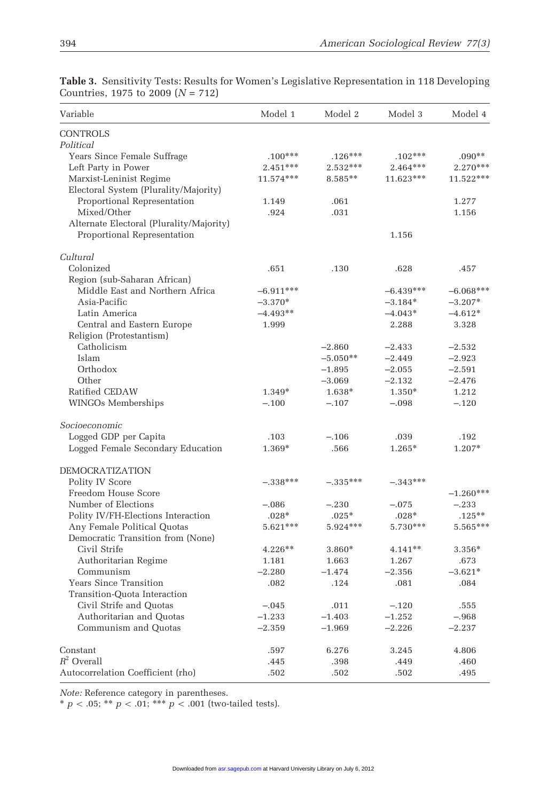Table 3. Sensitivity Tests: Results for Women's Legislative Representation in 118 Developing Countries, 1975 to 2009  $(N = 712)$ 

| Variable                                   | Model 1       | Model 2      | Model 3     | Model 4        |
|--------------------------------------------|---------------|--------------|-------------|----------------|
|                                            |               |              |             |                |
| <b>CONTROLS</b>                            |               |              |             |                |
| Political                                  |               |              |             |                |
| Years Since Female Suffrage                | $.100***$     | $.126***$    | $.102***$   | $.090**$       |
| Left Party in Power                        | $2.451***$    | $2.532***$   | $2.464***$  | 2.270***       |
| Marxist-Leninist Regime                    | 11.574***     | $8.585**$    | $11.623***$ | 11.522***      |
| Electoral System (Plurality/Majority)      |               |              |             |                |
| Proportional Representation<br>Mixed/Other | 1.149<br>.924 | .061<br>.031 |             | 1.277<br>1.156 |
| Alternate Electoral (Plurality/Majority)   |               |              |             |                |
| Proportional Representation                |               |              | 1.156       |                |
|                                            |               |              |             |                |
| Cultural                                   |               |              |             |                |
| Colonized                                  | .651          | .130         | .628        | .457           |
| Region (sub-Saharan African)               |               |              |             |                |
| Middle East and Northern Africa            | $-6.911***$   |              | $-6.439***$ | $-6.068***$    |
| Asia-Pacific                               | $-3.370*$     |              | $-3.184*$   | $-3.207*$      |
| Latin America                              | $-4.493**$    |              | $-4.043*$   | $-4.612*$      |
| Central and Eastern Europe                 | 1.999         |              | 2.288       | 3.328          |
| Religion (Protestantism)                   |               |              |             |                |
| Catholicism                                |               | $-2.860$     | $-2.433$    | $-2.532$       |
| Islam                                      |               | $-5.050**$   | $-2.449$    | $-2.923$       |
| Orthodox                                   |               | $-1.895$     | $-2.055$    | $-2.591$       |
| Other                                      |               | $-3.069$     | $-2.132$    | $-2.476$       |
| Ratified CEDAW                             | 1.349*        | 1.638*       | 1.350*      | 1.212          |
| WINGOs Memberships                         | $-.100$       | $-.107$      | $-.098$     | $-.120$        |
| Socioeconomic                              |               |              |             |                |
| Logged GDP per Capita                      | .103          | $-.106$      | .039        | .192           |
| Logged Female Secondary Education          | 1.369*        | .566         | $1.265*$    | 1.207*         |
| <b>DEMOCRATIZATION</b>                     |               |              |             |                |
| Polity IV Score                            | $-.338***$    | $-.335***$   | $-.343***$  |                |
| Freedom House Score                        |               |              |             | $-1.260***$    |
| Number of Elections                        | $-.086$       | $-.230$      | $-.075$     | $-.233$        |
| Polity IV/FH-Elections Interaction         | $.028*$       | $.025*$      | $.028*$     | $.125**$       |
| Any Female Political Quotas                | 5.621***      | 5.924 ***    | 5.730***    | 5.565***       |
| Democratic Transition from (None)          |               |              |             |                |
| Civil Strife                               | $4.226**$     | 3.860*       | $4.141**$   | 3.356*         |
| Authoritarian Regime                       | 1.181         | 1.663        | 1.267       | .673           |
| Communism                                  | $-2.280$      | $-1.474$     | $-2.356$    | $-3.621*$      |
| Years Since Transition                     | .082          | .124         | .081        | .084           |
| Transition-Quota Interaction               |               |              |             |                |
| Civil Strife and Quotas                    | $-.045$       | .011         | $-.120$     | .555           |
| Authoritarian and Quotas                   | $-1.233$      | $-1.403$     | $-1.252$    | $-.968$        |
| Communism and Quotas                       | $-2.359$      | $-1.969$     | $-2.226$    | $-2.237$       |
|                                            |               |              |             |                |
| Constant<br>$R^2$ Overall                  | .597          | 6.276        | 3.245       | 4.806          |
|                                            | .445          | .398         | .449        | .460           |
| Autocorrelation Coefficient (rho)          | .502          | .502         | .502        | .495           |

Note: Reference category in parentheses.

\*  $p < .05;$  \*\*  $p < .01;$  \*\*\*  $p < .001$  (two-tailed tests).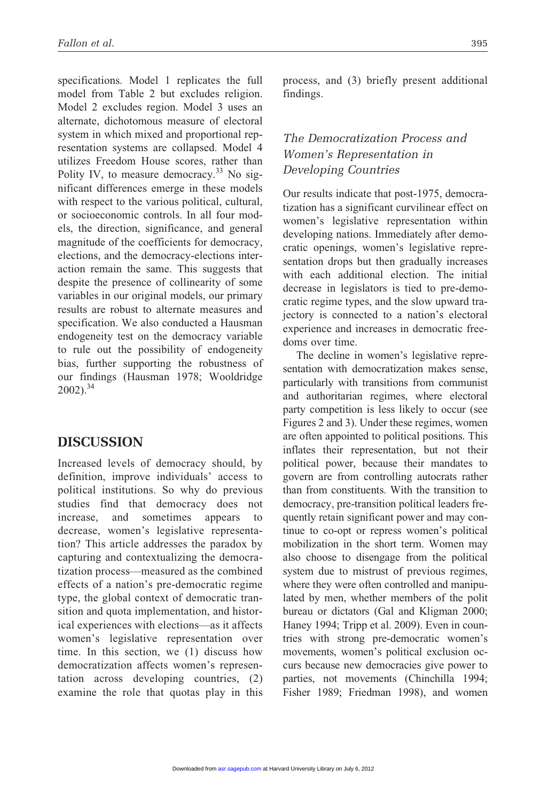specifications. Model 1 replicates the full model from Table 2 but excludes religion. Model 2 excludes region. Model 3 uses an alternate, dichotomous measure of electoral system in which mixed and proportional representation systems are collapsed. Model 4 utilizes Freedom House scores, rather than Polity IV, to measure democracy.<sup>33</sup> No significant differences emerge in these models with respect to the various political, cultural, or socioeconomic controls. In all four models, the direction, significance, and general magnitude of the coefficients for democracy, elections, and the democracy-elections interaction remain the same. This suggests that despite the presence of collinearity of some variables in our original models, our primary results are robust to alternate measures and specification. We also conducted a Hausman endogeneity test on the democracy variable to rule out the possibility of endogeneity bias, further supporting the robustness of our findings (Hausman 1978; Wooldridge  $2002$ ).<sup>34</sup>

# DISCUSSION

Increased levels of democracy should, by definition, improve individuals' access to political institutions. So why do previous studies find that democracy does not increase, and sometimes appears to decrease, women's legislative representation? This article addresses the paradox by capturing and contextualizing the democratization process—measured as the combined effects of a nation's pre-democratic regime type, the global context of democratic transition and quota implementation, and historical experiences with elections—as it affects women's legislative representation over time. In this section, we (1) discuss how democratization affects women's representation across developing coun[tries, \(2\)](http://asr.sagepub.com/) examine the role that quotas play in this process, and (3) briefly present additional findings.

# The Democratization Process and Women's Representation in Developing Countries

Our results indicate that post-1975, democratization has a significant curvilinear effect on women's legislative representation within developing nations. Immediately after democratic openings, women's legislative representation drops but then gradually increases with each additional election. The initial decrease in legislators is tied to pre-democratic regime types, and the slow upward trajectory is connected to a nation's electoral experience and increases in democratic freedoms over time.

The decline in women's legislative representation with democratization makes sense, particularly with transitions from communist and authoritarian regimes, where electoral party competition is less likely to occur (see Figures 2 and 3). Under these regimes, women are often appointed to political positions. This inflates their representation, but not their political power, because their mandates to govern are from controlling autocrats rather than from constituents. With the transition to democracy, pre-transition political leaders frequently retain significant power and may continue to co-opt or repress women's political mobilization in the short term. Women may also choose to disengage from the political system due to mistrust of previous regimes, where they were often controlled and manipulated by men, whether members of the polit bureau or dictators (Gal and Kligman 2000; Haney 1994; Tripp et al. 2009). Even in countries with strong pre-democratic women's movements, women's political exclusion occurs because new democracies give power to parties, not movements (Chinchilla 1994; Fisher 1989; Friedman 1998), and women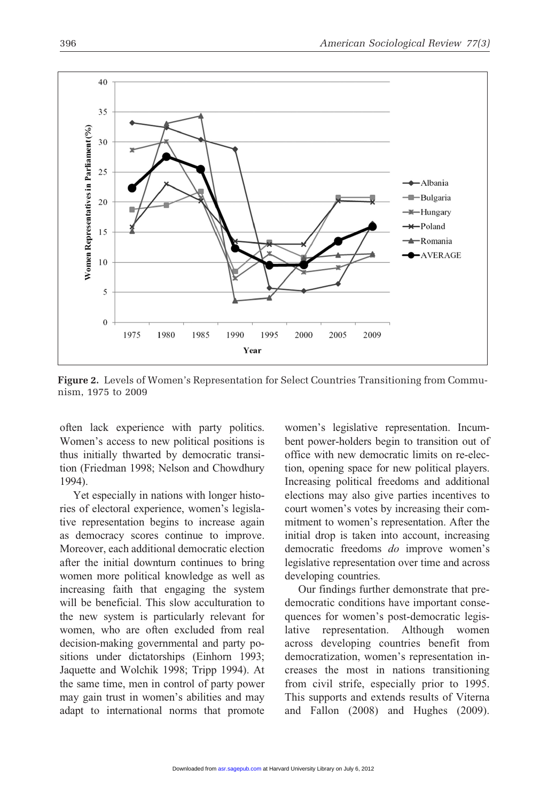

Figure 2. Levels of Women's Representation for Select Countries Transitioning from Communism, 1975 to 2009

often lack experience with party politics. Women's access to new political positions is thus initially thwarted by democratic transition (Friedman 1998; Nelson and Chowdhury 1994).

Yet especially in nations with longer histories of electoral experience, women's legislative representation begins to increase again as democracy scores continue to improve. Moreover, each additional democratic election after the initial downturn continues to bring women more political knowledge as well as increasing faith that engaging the system will be beneficial. This slow acculturation to the new system is particularly relevant for women, who are often excluded from real decision-making governmental and party positions under dictatorships (Einhorn 1993; Jaquette and Wolchik 1998; Tripp [1994\). At](http://asr.sagepub.com/) the same time, men in control of party power may gain trust in women's abilities and may adapt to international norms that promote

women's legislative representation. Incumbent power-holders begin to transition out of office with new democratic limits on re-election, opening space for new political players. Increasing political freedoms and additional elections may also give parties incentives to court women's votes by increasing their commitment to women's representation. After the initial drop is taken into account, increasing democratic freedoms do improve women's legislative representation over time and across developing countries.

Our findings further demonstrate that predemocratic conditions have important consequences for women's post-democratic legislative representation. Although women across developing countries benefit from democratization, women's representation increases the most in nations transitioning from civil strife, especially prior to 1995. This supports and extends results of Viterna and Fallon (2008) and Hughes (2009).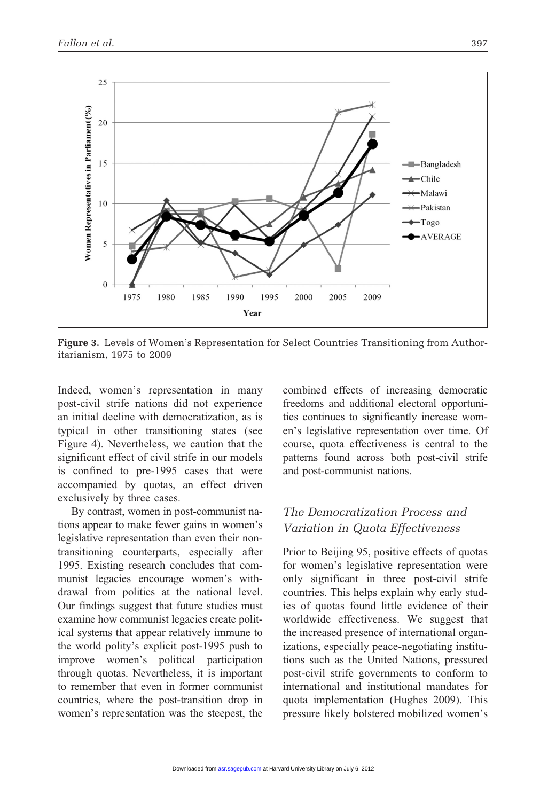

Figure 3. Levels of Women's Representation for Select Countries Transitioning from Authoritarianism, 1975 to 2009

Indeed, women's representation in many post-civil strife nations did not experience an initial decline with democratization, as is typical in other transitioning states (see Figure 4). Nevertheless, we caution that the significant effect of civil strife in our models is confined to pre-1995 cases that were accompanied by quotas, an effect driven exclusively by three cases.

By contrast, women in post-communist nations appear to make fewer gains in women's legislative representation than even their nontransitioning counterparts, especially after 1995. Existing research concludes that communist legacies encourage women's withdrawal from politics at the national level. Our findings suggest that future studies must examine how communist legacies create political systems that appear relatively immune to the world polity's explicit post-1995 push to improve women's political participation through quotas. Nevertheless, it is [important](http://asr.sagepub.com/) to remember that even in former communist countries, where the post-transition drop in women's representation was the steepest, the combined effects of increasing democratic freedoms and additional electoral opportunities continues to significantly increase women's legislative representation over time. Of course, quota effectiveness is central to the patterns found across both post-civil strife and post-communist nations.

# The Democratization Process and Variation in Quota Effectiveness

Prior to Beijing 95, positive effects of quotas for women's legislative representation were only significant in three post-civil strife countries. This helps explain why early studies of quotas found little evidence of their worldwide effectiveness. We suggest that the increased presence of international organizations, especially peace-negotiating institutions such as the United Nations, pressured post-civil strife governments to conform to international and institutional mandates for quota implementation (Hughes 2009). This pressure likely bolstered mobilized women's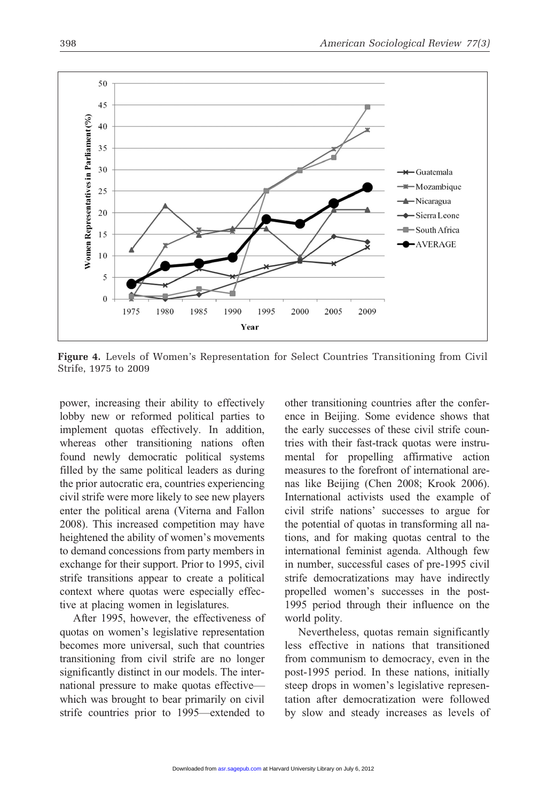

Figure 4. Levels of Women's Representation for Select Countries Transitioning from Civil Strife, 1975 to 2009

power, increasing their ability to effectively lobby new or reformed political parties to implement quotas effectively. In addition, whereas other transitioning nations often found newly democratic political systems filled by the same political leaders as during the prior autocratic era, countries experiencing civil strife were more likely to see new players enter the political arena (Viterna and Fallon 2008). This increased competition may have heightened the ability of women's movements to demand concessions from party members in exchange for their support. Prior to 1995, civil strife transitions appear to create a political context where quotas were especially effective at placing women in legislatures.

After 1995, however, the effectiveness of quotas on women's legislative representation becomes more universal, such that countries transitioning from civil strife are no longer significantly distinct in our models. [The inter](http://asr.sagepub.com/)national pressure to make quotas effective which was brought to bear primarily on civil strife countries prior to 1995—extended to

other transitioning countries after the conference in Beijing. Some evidence shows that the early successes of these civil strife countries with their fast-track quotas were instrumental for propelling affirmative action measures to the forefront of international arenas like Beijing (Chen 2008; Krook 2006). International activists used the example of civil strife nations' successes to argue for the potential of quotas in transforming all nations, and for making quotas central to the international feminist agenda. Although few in number, successful cases of pre-1995 civil strife democratizations may have indirectly propelled women's successes in the post-1995 period through their influence on the world polity.

Nevertheless, quotas remain significantly less effective in nations that transitioned from communism to democracy, even in the post-1995 period. In these nations, initially steep drops in women's legislative representation after democratization were followed by slow and steady increases as levels of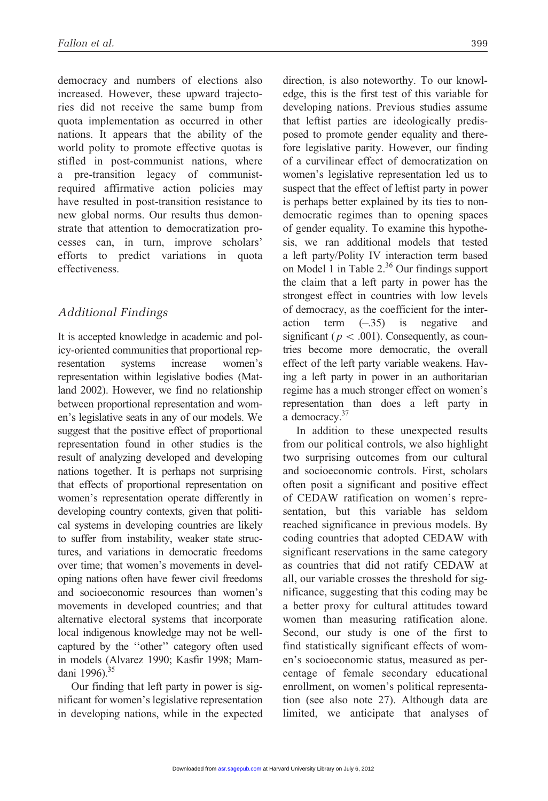democracy and numbers of elections also increased. However, these upward trajectories did not receive the same bump from quota implementation as occurred in other nations. It appears that the ability of the world polity to promote effective quotas is stifled in post-communist nations, where a pre-transition legacy of communistrequired affirmative action policies may have resulted in post-transition resistance to new global norms. Our results thus demonstrate that attention to democratization processes can, in turn, improve scholars' efforts to predict variations in quota effectiveness.

# Additional Findings

It is accepted knowledge in academic and policy-oriented communities that proportional representation systems increase women's representation within legislative bodies (Matland 2002). However, we find no relationship between proportional representation and women's legislative seats in any of our models. We suggest that the positive effect of proportional representation found in other studies is the result of analyzing developed and developing nations together. It is perhaps not surprising that effects of proportional representation on women's representation operate differently in developing country contexts, given that political systems in developing countries are likely to suffer from instability, weaker state structures, and variations in democratic freedoms over time; that women's movements in developing nations often have fewer civil freedoms and socioeconomic resources than women's movements in developed countries; and that alternative electoral systems that incorporate local indigenous knowledge may not be wellcaptured by the ''other'' category often used in models (Alvarez 1990; Kasfir 1998; Mamdani 1996). $35$ 

Our finding that left party in power is significant for women's legislative representation in developing nations, while in the expected direction, is also noteworthy. To our knowledge, this is the first test of this variable for developing nations. Previous studies assume that leftist parties are ideologically predisposed to promote gender equality and therefore legislative parity. However, our finding of a curvilinear effect of democratization on women's legislative representation led us to suspect that the effect of leftist party in power is perhaps better explained by its ties to nondemocratic regimes than to opening spaces of gender equality. To examine this hypothesis, we ran additional models that tested a left party/Polity IV interaction term based on Model 1 in Table 2.36 Our findings support the claim that a left party in power has the strongest effect in countries with low levels of democracy, as the coefficient for the interaction term  $(-.35)$  is negative and significant ( $p < .001$ ). Consequently, as countries become more democratic, the overall effect of the left party variable weakens. Having a left party in power in an authoritarian regime has a much stronger effect on women's representation than does a left party in a democracy.37

In addition to these unexpected results from our political controls, we also highlight two surprising outcomes from our cultural and socioeconomic controls. First, scholars often posit a significant and positive effect of CEDAW ratification on women's representation, but this variable has seldom reached significance in previous models. By coding countries that adopted CEDAW with significant reservations in the same category as countries that did not ratify CEDAW at all, our variable crosses the threshold for significance, suggesting that this coding may be a better proxy for cultural attitudes toward women than measuring ratification alone. Second, our study is one of the first to find statistically significant effects of women's socioeconomic status, measured as percentage of female secondary educational enrollment, on women's political representation (see also note 27). Although data are limited, we anticipate that analyses of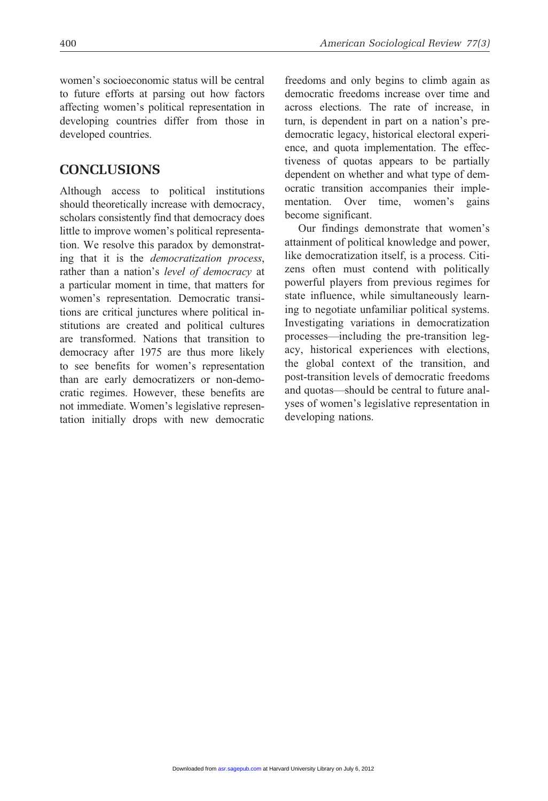women's socioeconomic status will be central to future efforts at parsing out how factors affecting women's political representation in developing countries differ from those in developed countries.

# **CONCLUSIONS**

Although access to political institutions should theoretically increase with democracy, scholars consistently find that democracy does little to improve women's political representation. We resolve this paradox by demonstrating that it is the democratization process, rather than a nation's level of democracy at a particular moment in time, that matters for women's representation. Democratic transitions are critical junctures where political institutions are created and political cultures are transformed. Nations that transition to democracy after 1975 are thus more likely to see benefits for women's representation than are early democratizers or non-democratic regimes. However, these benefits are not immediate. Women's legislative representation initially drops with new democratic freedoms and only begins to climb again as democratic freedoms increase over time and across elections. The rate of increase, in turn, is dependent in part on a nation's predemocratic legacy, historical electoral experience, and quota implementation. The effectiveness of quotas appears to be partially dependent on whether and what type of democratic transition accompanies their implementation. Over time, women's gains become significant.

Our findings demonstrate that women's attainment of political knowledge and power, like democratization itself, is a process. Citizens often must contend with politically powerful players from previous regimes for state influence, while simultaneously learning to negotiate unfamiliar political systems. Investigating variations in democratization processes—including the pre-transition legacy, historical experiences with elections, the global context of the transition, and post-transition levels of democratic freedoms and quotas—should be central to future analyses of women's legislative representation in developing nations.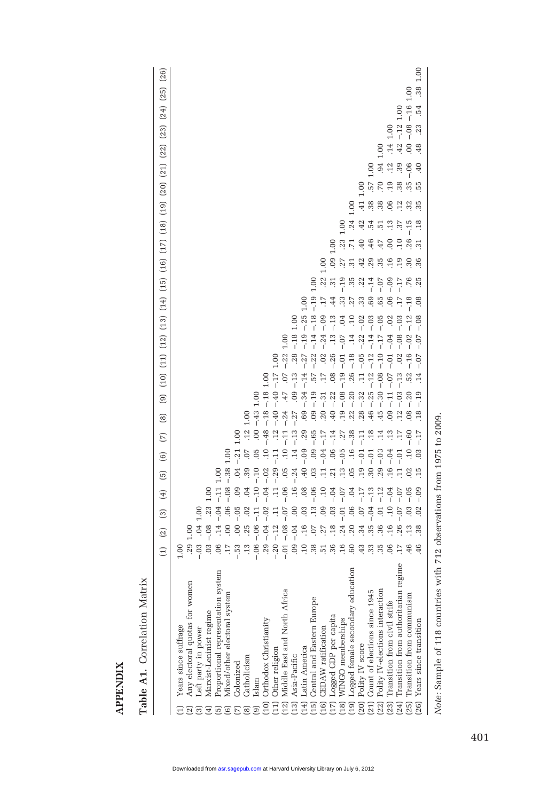| ŗ<br>ļ<br>relation |  |
|--------------------|--|
| ٦                  |  |
| ×                  |  |
| $\vec{E}$          |  |

|                                                                                                                                                                                                | $\Xi$                                                                                                                                                                                 | $\boxed{2}$   | ල                   | E                | ල                       | ම               | Σ              | $\widehat{E}$<br>$\overset{\circ}{\text{e}}$ | (10)             | (11)                      | $(12)$     | (13)                 | (14)        | (15)           | (16)             | (17)            | (18)                                   | (20)<br>(19)                                                                 | (21)                                                                                     | (22)       | (23)                     | (24)  | (25)        | (26) |
|------------------------------------------------------------------------------------------------------------------------------------------------------------------------------------------------|---------------------------------------------------------------------------------------------------------------------------------------------------------------------------------------|---------------|---------------------|------------------|-------------------------|-----------------|----------------|----------------------------------------------|------------------|---------------------------|------------|----------------------|-------------|----------------|------------------|-----------------|----------------------------------------|------------------------------------------------------------------------------|------------------------------------------------------------------------------------------|------------|--------------------------|-------|-------------|------|
| Years since suffrage                                                                                                                                                                           | $\frac{50}{2}$                                                                                                                                                                        |               |                     |                  |                         |                 |                |                                              |                  |                           |            |                      |             |                |                  |                 |                                        |                                                                              |                                                                                          |            |                          |       |             |      |
| Any electoral quotas for women<br>Left party in power                                                                                                                                          |                                                                                                                                                                                       | 1.00          |                     |                  |                         |                 |                |                                              |                  |                           |            |                      |             |                |                  |                 |                                        |                                                                              |                                                                                          |            |                          |       |             |      |
|                                                                                                                                                                                                | នុះ ទី<br>ដូ                                                                                                                                                                          | $\ddot{q}$    | 1.00                |                  |                         |                 |                |                                              |                  |                           |            |                      |             |                |                  |                 |                                        |                                                                              |                                                                                          |            |                          |       |             |      |
| Marxist-Leninist regime                                                                                                                                                                        |                                                                                                                                                                                       | $-0.8$        | $3^{\circ}$         | 1.00             |                         |                 |                |                                              |                  |                           |            |                      |             |                |                  |                 |                                        |                                                                              |                                                                                          |            |                          |       |             |      |
| Proportional representation system<br>Mixed/other electoral system                                                                                                                             | .06                                                                                                                                                                                   | $\ddot{z}$    | $-0.4$              | 금                | 1.00                    |                 |                |                                              |                  |                           |            |                      |             |                |                  |                 |                                        |                                                                              |                                                                                          |            |                          |       |             |      |
|                                                                                                                                                                                                | $-17$<br>$-17$                                                                                                                                                                        |               | $\ddot{\mathrm{e}}$ | $-0.8$           | $-38$                   | 1.00            |                |                                              |                  |                           |            |                      |             |                |                  |                 |                                        |                                                                              |                                                                                          |            |                          |       |             |      |
| Colonized<br>Catholicism                                                                                                                                                                       |                                                                                                                                                                                       | 6848          | $-0.5$              | <b>90.</b>       | $\ddot{0}$              | $-21$           | $\frac{5}{1}$  |                                              |                  |                           |            |                      |             |                |                  |                 |                                        |                                                                              |                                                                                          |            |                          |       |             |      |
|                                                                                                                                                                                                | $\ddot{.}$                                                                                                                                                                            |               | .02                 | $\ddot{9}$       | 39                      | $\sim$          | $\frac{12}{2}$ | 00.1                                         |                  |                           |            |                      |             |                |                  |                 |                                        |                                                                              |                                                                                          |            |                          |       |             |      |
| $\label{eq:islam} \begin{array}{ll} \mbox{Islam} \end{array}$                                                                                                                                  | $-0.06$                                                                                                                                                                               |               | $-11$               | $-10$            | $-10$                   | 50.             | Ş              | 0.1<br>$-43$                                 |                  |                           |            |                      |             |                |                  |                 |                                        |                                                                              |                                                                                          |            |                          |       |             |      |
|                                                                                                                                                                                                | $-29$                                                                                                                                                                                 | $-0.4$        | $-0.2$              | $-0.4$           | $-0.2$                  | $\ddot{ }$      | $-48$          | $-18$<br>$-18$                               | $\sin$           |                           |            |                      |             |                |                  |                 |                                        |                                                                              |                                                                                          |            |                          |       |             |      |
|                                                                                                                                                                                                |                                                                                                                                                                                       | $-12$         | $\Xi$               |                  |                         | $-11$           | $\frac{12}{1}$ | $-40$<br>$-40$                               | $-17$            | 1.00                      |            |                      |             |                |                  |                 |                                        |                                                                              |                                                                                          |            |                          |       |             |      |
| (10) Orthodox Christianity<br>(11) Other religion<br>(12) Middle East and North Africa<br>(13) Asia-Pacific<br>(14) Latin America                                                              |                                                                                                                                                                                       | $-0.08$       | $-0.7$              | $\frac{11}{106}$ | $-29$<br>$-34$<br>$-34$ | $\overline{10}$ | $\frac{11}{1}$ |                                              | 47               | $-.22$<br>5C              | 1.00       |                      |             |                |                  |                 |                                        |                                                                              |                                                                                          |            |                          |       |             |      |
|                                                                                                                                                                                                |                                                                                                                                                                                       | $-0.04$       | OO.                 | .16              |                         | .14             | $-13$          | $-0.24$<br>$-0.27$                           | $-13$<br>eg      | $-28$<br>$-27$            | $-18$      | 1.00                 |             |                |                  |                 |                                        |                                                                              |                                                                                          |            |                          |       |             |      |
|                                                                                                                                                                                                |                                                                                                                                                                                       |               |                     | 08               | $^{40}$                 | $-0.09$         | $\ddot{5}$     | .69                                          | $-14$<br>$-34$   |                           | $-19$      | $-0.25$              | $\sin$      |                |                  |                 |                                        |                                                                              |                                                                                          |            |                          |       |             |      |
|                                                                                                                                                                                                |                                                                                                                                                                                       |               |                     | $-0.06$          |                         | <b>90.</b>      | $-0.65$        | 09                                           | $-19$            | $-.22$<br>57              | $-14$      | $-18$                | $-19$       | g              |                  |                 |                                        |                                                                              |                                                                                          |            |                          |       |             |      |
| (15) Central and Eastern Europe<br>(16) CEDAW ratification<br>(17) Logged GDP per capita<br>(18) WINGO memberships<br>(19) Logged female secondary education<br>(20) Polity IV score           | $\frac{1}{2}$ $\frac{1}{2}$ $\frac{1}{2}$ $\frac{1}{2}$ $\frac{1}{2}$ $\frac{1}{2}$ $\frac{1}{2}$ $\frac{1}{2}$ $\frac{1}{2}$ $\frac{1}{2}$ $\frac{1}{2}$ $\frac{1}{2}$ $\frac{1}{2}$ | figura da ara |                     | $\overline{10}$  | <b>SHIS</b>             |                 | $-17$          | $-31$<br>$\ddot{5}$                          |                  | $-0.26$<br>$\cdot$ 17     | $-.24$     | $-0.9$               | Ë           | $\ddot{c}$     | 1.0C             |                 |                                        |                                                                              |                                                                                          |            |                          |       |             |      |
|                                                                                                                                                                                                |                                                                                                                                                                                       |               |                     | $-0.04$          |                         | $-18.95$        | $-0.14$        | $-40$                                        | $-22$            | 08                        | $\cdot$ 13 | $-13$                | $\ddot{4}$  | $-31$<br>$-19$ |                  | $\frac{1}{2}$   |                                        |                                                                              |                                                                                          |            |                          |       |             |      |
|                                                                                                                                                                                                |                                                                                                                                                                                       |               |                     | $-0.7$           |                         |                 | $\ddot{c}$     | .19                                          | $-0.8$           | $-0.1$<br>$-19$           | $-0.7$     | Ċ.                   |             |                | ទី អ្នង          |                 | 1.00                                   |                                                                              |                                                                                          |            |                          |       |             |      |
|                                                                                                                                                                                                | .eo                                                                                                                                                                                   |               | 06                  | $\ddot{0}$       | Ğ.                      | .16             | $-.38$         | 32.38                                        | $-20$            | $-18$<br>.26              | .14        | $\ddot{c}$           | 33.27       | $\ddot{35}$    |                  | 3,71            | 1.00<br>.24                            |                                                                              |                                                                                          |            |                          |       |             |      |
|                                                                                                                                                                                                | $\ddot{4}3$                                                                                                                                                                           |               | $\sim$              | $-17$            | $\overline{.19}$        | $-0.1$          | 류              |                                              | $\Xi$<br>$-32$   | $-0.5$                    | $-.22$     | $-0.2$               | 33          | $-14$          | .42              | $-40$           |                                        | 00.1<br>$-41$                                                                |                                                                                          |            |                          |       |             |      |
|                                                                                                                                                                                                | $\ddot{3}$                                                                                                                                                                            |               | $-0.04$             | $-13$            | $\ddot{3}$              | $-0.0$          | $\ddot{a}$     | 46                                           | $-12$<br>$-25$   | $-12$                     | $-14$      | $-0.3$               | 69.         |                | .29              | 4.40            | $\ddot{a}$ is $\ddot{a}$ in $\ddot{a}$ |                                                                              | 001<br>157.98                                                                            |            |                          |       |             |      |
|                                                                                                                                                                                                | 35                                                                                                                                                                                    | $\ddot{36}$   | C,                  | $-12$            | .29                     | $-0.3$          | ਜ਼             | 45                                           | $-0.08$<br>$-30$ | $-10$                     | $-17$      | $-0.5$               | 65          | $-0.7$         | 35               |                 |                                        |                                                                              |                                                                                          | 1.00       |                          |       |             |      |
|                                                                                                                                                                                                | .06                                                                                                                                                                                   | .16           | $\overline{10}$     | $-0.4$           | .16                     | $-0.4$          | H.             | 두<br>80.                                     | $-0.7$           | $-5$                      | $-0.4$     | $\ddot{\phantom{0}}$ | ë.          | $-0.9$         | .16              |                 |                                        |                                                                              |                                                                                          |            | 1.00<br>.14              |       |             |      |
| (21) Count of elections since 1945<br>(22) Polity IV-elections interaction<br>(23) Transition from civil strife<br>(24) Transition from authoritarian regime<br>(25) Transition from communism | $\cdot$ 17                                                                                                                                                                            | .26           | $-0.7$              | $-0.7$           |                         | $-0.0$          | $\ddot{1}$     | .12                                          | $-13$<br>$-0.3$  | .02                       | $-0.08$    | 30-<br>أ             | $\ddot{17}$ | $-17$          | $\overline{.19}$ | .10             | .37                                    |                                                                              | $\ddot{a}$ ; $\ddot{a}$ ; $\ddot{a}$ ; $\ddot{b}$ ; $\ddot{b}$ ; $\ddot{c}$ ; $\ddot{c}$ | .42        | $-12$                    | 1.00  |             |      |
|                                                                                                                                                                                                | .46                                                                                                                                                                                   | $\ddot{1}$    | 03                  | $-0.5$           | .02                     | $\overline{10}$ | $-0.60$        | 08                                           | $-20$            | $-16$<br>.52              | $-.02$     | $-.12$               | $-18$       | .76            | 30               | .26             | $-15$                                  | $\ddot{a}$ $\ddot{a}$ $\ddot{a}$ $\ddot{a}$ $\ddot{a}$ $\ddot{a}$ $\ddot{a}$ | $\ddot{35}$                                                                              |            | $-0.8$<br>$\ddot{\circ}$ | $-16$ | 1.00        |      |
| (26) Years since transition                                                                                                                                                                    | 46                                                                                                                                                                                    | 38            | 02                  | $-0.9$           | .15                     | $\ddot{0}$      | $-17$          |                                              | $-19$            | $-0.7$<br>$\overline{14}$ | $-0.7$     | $-0.8$               | 08          | .25            | 36               | $\overline{31}$ | .18                                    |                                                                              | 55.                                                                                      | $\ddot{=}$ | .23<br>$-48$             | .54   | $\ddot{38}$ | 1.00 |
|                                                                                                                                                                                                |                                                                                                                                                                                       |               |                     |                  |                         |                 |                |                                              |                  |                           |            |                      |             |                |                  |                 |                                        |                                                                              |                                                                                          |            |                          |       |             |      |

Note: Sample of 118 countries with 712 observations from 1975 to 2009. Note: Sample of 118 countries with 712 observations from 1975 to 2009.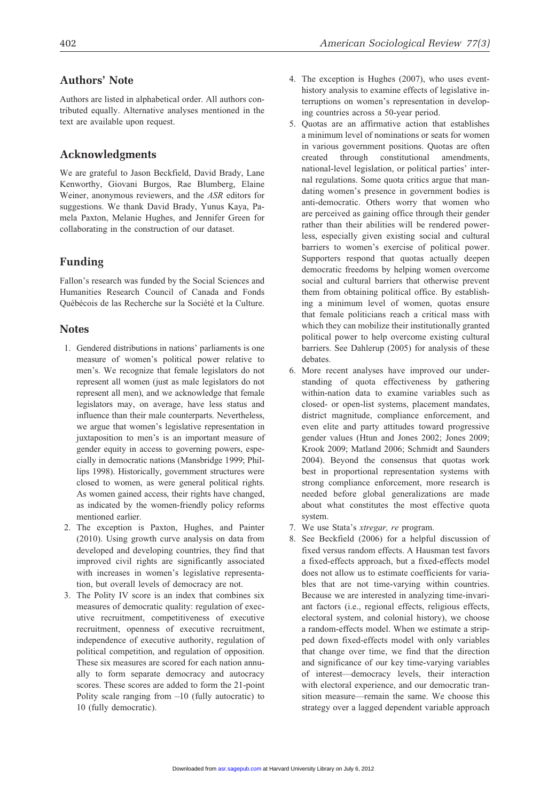#### Authors' Note

Authors are listed in alphabetical order. All authors contributed equally. Alternative analyses mentioned in the text are available upon request.

#### Acknowledgments

We are grateful to Jason Beckfield, David Brady, Lane Kenworthy, Giovani Burgos, Rae Blumberg, Elaine Weiner, anonymous reviewers, and the ASR editors for suggestions. We thank David Brady, Yunus Kaya, Pamela Paxton, Melanie Hughes, and Jennifer Green for collaborating in the construction of our dataset.

#### Funding

Fallon's research was funded by the Social Sciences and Humanities Research Council of Canada and Fonds Québécois de las Recherche sur la Société et la Culture.

#### **Notes**

- 1. Gendered distributions in nations' parliaments is one measure of women's political power relative to men's. We recognize that female legislators do not represent all women (just as male legislators do not represent all men), and we acknowledge that female legislators may, on average, have less status and influence than their male counterparts. Nevertheless, we argue that women's legislative representation in juxtaposition to men's is an important measure of gender equity in access to governing powers, especially in democratic nations (Mansbridge 1999; Phillips 1998). Historically, government structures were closed to women, as were general political rights. As women gained access, their rights have changed, as indicated by the women-friendly policy reforms mentioned earlier.
- 2. The exception is Paxton, Hughes, and Painter (2010). Using growth curve analysis on data from developed and developing countries, they find that improved civil rights are significantly associated with increases in women's legislative representation, but overall levels of democracy are not.
- 3. The Polity IV score is an index that combines six measures of democratic quality: regulation of executive recruitment, competitiveness of executive recruitment, openness of executive recruitment, independence of executive authority, regulation of political competition, and regulation of opposition. These six measures are scored for each nation annually to form separate democracy a[nd autocracy](http://asr.sagepub.com/) scores. These scores are added to form the 21-point Polity scale ranging from –10 (fully autocratic) to 10 (fully democratic).
- 4. The exception is Hughes (2007), who uses eventhistory analysis to examine effects of legislative interruptions on women's representation in developing countries across a 50-year period.
- 5. Quotas are an affirmative action that establishes a minimum level of nominations or seats for women in various government positions. Quotas are often created through constitutional amendments, national-level legislation, or political parties' internal regulations. Some quota critics argue that mandating women's presence in government bodies is anti-democratic. Others worry that women who are perceived as gaining office through their gender rather than their abilities will be rendered powerless, especially given existing social and cultural barriers to women's exercise of political power. Supporters respond that quotas actually deepen democratic freedoms by helping women overcome social and cultural barriers that otherwise prevent them from obtaining political office. By establishing a minimum level of women, quotas ensure that female politicians reach a critical mass with which they can mobilize their institutionally granted political power to help overcome existing cultural barriers. See Dahlerup (2005) for analysis of these debates.
- 6. More recent analyses have improved our understanding of quota effectiveness by gathering within-nation data to examine variables such as closed- or open-list systems, placement mandates, district magnitude, compliance enforcement, and even elite and party attitudes toward progressive gender values (Htun and Jones 2002; Jones 2009; Krook 2009; Matland 2006; Schmidt and Saunders 2004). Beyond the consensus that quotas work best in proportional representation systems with strong compliance enforcement, more research is needed before global generalizations are made about what constitutes the most effective quota system.
- 7. We use Stata's xtregar, re program.
- 8. See Beckfield (2006) for a helpful discussion of fixed versus random effects. A Hausman test favors a fixed-effects approach, but a fixed-effects model does not allow us to estimate coefficients for variables that are not time-varying within countries. Because we are interested in analyzing time-invariant factors (i.e., regional effects, religious effects, electoral system, and colonial history), we choose a random-effects model. When we estimate a stripped down fixed-effects model with only variables that change over time, we find that the direction and significance of our key time-varying variables of interest—democracy levels, their interaction with electoral experience, and our democratic transition measure—remain the same. We choose this strategy over a lagged dependent variable approach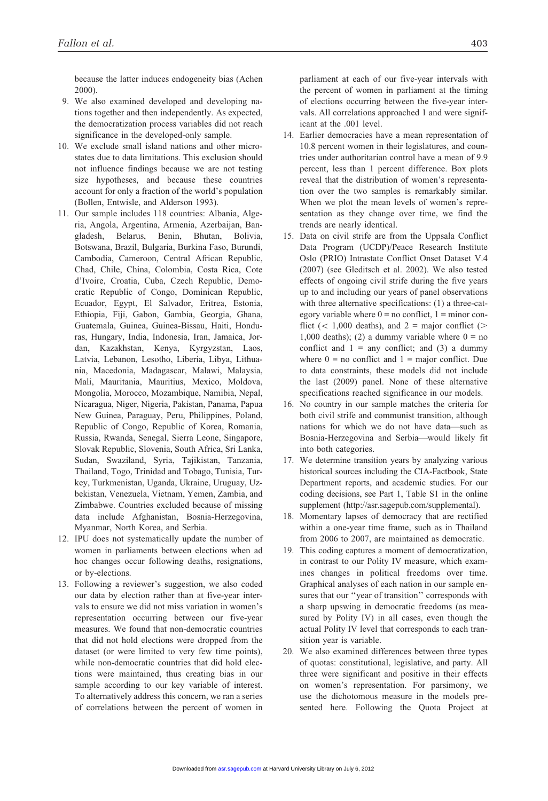because the latter induces endogeneity bias (Achen 2000).

- 9. We also examined developed and developing nations together and then independently. As expected, the democratization process variables did not reach significance in the developed-only sample.
- 10. We exclude small island nations and other microstates due to data limitations. This exclusion should not influence findings because we are not testing size hypotheses, and because these countries account for only a fraction of the world's population (Bollen, Entwisle, and Alderson 1993).
- 11. Our sample includes 118 countries: Albania, Algeria, Angola, Argentina, Armenia, Azerbaijan, Bangladesh, Belarus, Benin, Bhutan, Bolivia, Botswana, Brazil, Bulgaria, Burkina Faso, Burundi, Cambodia, Cameroon, Central African Republic, Chad, Chile, China, Colombia, Costa Rica, Cote d'Ivoire, Croatia, Cuba, Czech Republic, Democratic Republic of Congo, Dominican Republic, Ecuador, Egypt, El Salvador, Eritrea, Estonia, Ethiopia, Fiji, Gabon, Gambia, Georgia, Ghana, Guatemala, Guinea, Guinea-Bissau, Haiti, Honduras, Hungary, India, Indonesia, Iran, Jamaica, Jordan, Kazakhstan, Kenya, Kyrgyzstan, Laos, Latvia, Lebanon, Lesotho, Liberia, Libya, Lithuania, Macedonia, Madagascar, Malawi, Malaysia, Mali, Mauritania, Mauritius, Mexico, Moldova, Mongolia, Morocco, Mozambique, Namibia, Nepal, Nicaragua, Niger, Nigeria, Pakistan, Panama, Papua New Guinea, Paraguay, Peru, Philippines, Poland, Republic of Congo, Republic of Korea, Romania, Russia, Rwanda, Senegal, Sierra Leone, Singapore, Slovak Republic, Slovenia, South Africa, Sri Lanka, Sudan, Swaziland, Syria, Tajikistan, Tanzania, Thailand, Togo, Trinidad and Tobago, Tunisia, Turkey, Turkmenistan, Uganda, Ukraine, Uruguay, Uzbekistan, Venezuela, Vietnam, Yemen, Zambia, and Zimbabwe. Countries excluded because of missing data include Afghanistan, Bosnia-Herzegovina, Myanmar, North Korea, and Serbia.
- 12. IPU does not systematically update the number of women in parliaments between elections when ad hoc changes occur following deaths, resignations, or by-elections.
- 13. Following a reviewer's suggestion, we also coded our data by election rather than at five-year intervals to ensure we did not miss variation in women's representation occurring between our five-year measures. We found that non-democratic countries that did not hold elections were dropped from the dataset (or were limited to very few time points), while non-democratic countries that did hold elections were maintained, thus creating [bias in our](http://asr.sagepub.com/) sample according to our key variable of interest. To alternatively address this concern, we ran a series of correlations between the percent of women in

parliament at each of our five-year intervals with the percent of women in parliament at the timing of elections occurring between the five-year intervals. All correlations approached 1 and were significant at the .001 level.

- 14. Earlier democracies have a mean representation of 10.8 percent women in their legislatures, and countries under authoritarian control have a mean of 9.9 percent, less than 1 percent difference. Box plots reveal that the distribution of women's representation over the two samples is remarkably similar. When we plot the mean levels of women's representation as they change over time, we find the trends are nearly identical.
- 15. Data on civil strife are from the Uppsala Conflict Data Program (UCDP)/Peace Research Institute Oslo (PRIO) Intrastate Conflict Onset Dataset V.4 (2007) (see Gleditsch et al. 2002). We also tested effects of ongoing civil strife during the five years up to and including our years of panel observations with three alternative specifications: (1) a three-category variable where  $0 = no$  conflict,  $1 = minor$ flict ( $\lt$  1,000 deaths), and 2 = major conflict ( $\gt$ 1,000 deaths); (2) a dummy variable where  $0 = no$ conflict and  $1 =$  any conflict; and (3) a dummy where  $0 = no$  conflict and  $1 = major$  conflict. Due to data constraints, these models did not include the last (2009) panel. None of these alternative specifications reached significance in our models.
- 16. No country in our sample matches the criteria for both civil strife and communist transition, although nations for which we do not have data—such as Bosnia-Herzegovina and Serbia—would likely fit into both categories.
- 17. We determine transition years by analyzing various historical sources including the CIA-Factbook, State Department reports, and academic studies. For our coding decisions, see Part 1, Table S1 in the online supplement (http://asr.sagepub.com/supplemental).
- 18. Momentary lapses of democracy that are rectified within a one-year time frame, such as in Thailand from 2006 to 2007, are maintained as democratic.
- 19. This coding captures a moment of democratization, in contrast to our Polity IV measure, which examines changes in political freedoms over time. Graphical analyses of each nation in our sample ensures that our ''year of transition'' corresponds with a sharp upswing in democratic freedoms (as measured by Polity IV) in all cases, even though the actual Polity IV level that corresponds to each transition year is variable.
- 20. We also examined differences between three types of quotas: constitutional, legislative, and party. All three were significant and positive in their effects on women's representation. For parsimony, we use the dichotomous measure in the models presented here. Following the Quota Project at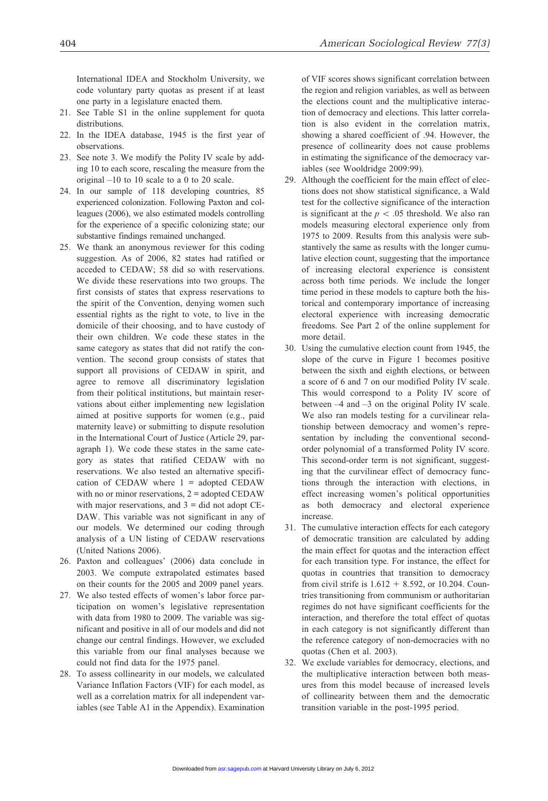International IDEA and Stockholm University, we code voluntary party quotas as present if at least one party in a legislature enacted them.

- 21. See Table S1 in the online supplement for quota distributions.
- 22. In the IDEA database, 1945 is the first year of observations.
- 23. See note 3. We modify the Polity IV scale by adding 10 to each score, rescaling the measure from the original –10 to 10 scale to a 0 to 20 scale.
- 24. In our sample of 118 developing countries, 85 experienced colonization. Following Paxton and colleagues (2006), we also estimated models controlling for the experience of a specific colonizing state; our substantive findings remained unchanged.
- 25. We thank an anonymous reviewer for this coding suggestion. As of 2006, 82 states had ratified or acceded to CEDAW; 58 did so with reservations. We divide these reservations into two groups. The first consists of states that express reservations to the spirit of the Convention, denying women such essential rights as the right to vote, to live in the domicile of their choosing, and to have custody of their own children. We code these states in the same category as states that did not ratify the convention. The second group consists of states that support all provisions of CEDAW in spirit, and agree to remove all discriminatory legislation from their political institutions, but maintain reservations about either implementing new legislation aimed at positive supports for women (e.g., paid maternity leave) or submitting to dispute resolution in the International Court of Justice (Article 29, paragraph 1). We code these states in the same category as states that ratified CEDAW with no reservations. We also tested an alternative specification of CEDAW where  $1 =$  adopted CEDAW with no or minor reservations,  $2 =$  adopted CEDAW with major reservations, and  $3 =$  did not adopt CE-DAW. This variable was not significant in any of our models. We determined our coding through analysis of a UN listing of CEDAW reservations (United Nations 2006).
- 26. Paxton and colleagues' (2006) data conclude in 2003. We compute extrapolated estimates based on their counts for the 2005 and 2009 panel years.
- 27. We also tested effects of women's labor force participation on women's legislative representation with data from 1980 to 2009. The variable was significant and positive in all of our models and did not change our central findings. However, we excluded this variable from our final analyses because we could not find data for the 1975 panel.
- 28. To assess collinearity in our models, [we calculated](http://asr.sagepub.com/) Variance Inflation Factors (VIF) for each model, as well as a correlation matrix for all independent variables (see Table A1 in the Appendix). Examination

of VIF scores shows significant correlation between the region and religion variables, as well as between the elections count and the multiplicative interaction of democracy and elections. This latter correlation is also evident in the correlation matrix, showing a shared coefficient of .94. However, the presence of collinearity does not cause problems in estimating the significance of the democracy variables (see Wooldridge 2009:99).

- 29. Although the coefficient for the main effect of elections does not show statistical significance, a Wald test for the collective significance of the interaction is significant at the  $p \, < .05$  threshold. We also ran models measuring electoral experience only from 1975 to 2009. Results from this analysis were substantively the same as results with the longer cumulative election count, suggesting that the importance of increasing electoral experience is consistent across both time periods. We include the longer time period in these models to capture both the historical and contemporary importance of increasing electoral experience with increasing democratic freedoms. See Part 2 of the online supplement for more detail.
- 30. Using the cumulative election count from 1945, the slope of the curve in Figure 1 becomes positive between the sixth and eighth elections, or between a score of 6 and 7 on our modified Polity IV scale. This would correspond to a Polity IV score of between –4 and –3 on the original Polity IV scale. We also ran models testing for a curvilinear relationship between democracy and women's representation by including the conventional secondorder polynomial of a transformed Polity IV score. This second-order term is not significant, suggesting that the curvilinear effect of democracy functions through the interaction with elections, in effect increasing women's political opportunities as both democracy and electoral experience increase.
- 31. The cumulative interaction effects for each category of democratic transition are calculated by adding the main effect for quotas and the interaction effect for each transition type. For instance, the effect for quotas in countries that transition to democracy from civil strife is  $1.612 + 8.592$ , or 10.204. Countries transitioning from communism or authoritarian regimes do not have significant coefficients for the interaction, and therefore the total effect of quotas in each category is not significantly different than the reference category of non-democracies with no quotas (Chen et al. 2003).
- 32. We exclude variables for democracy, elections, and the multiplicative interaction between both measures from this model because of increased levels of collinearity between them and the democratic transition variable in the post-1995 period.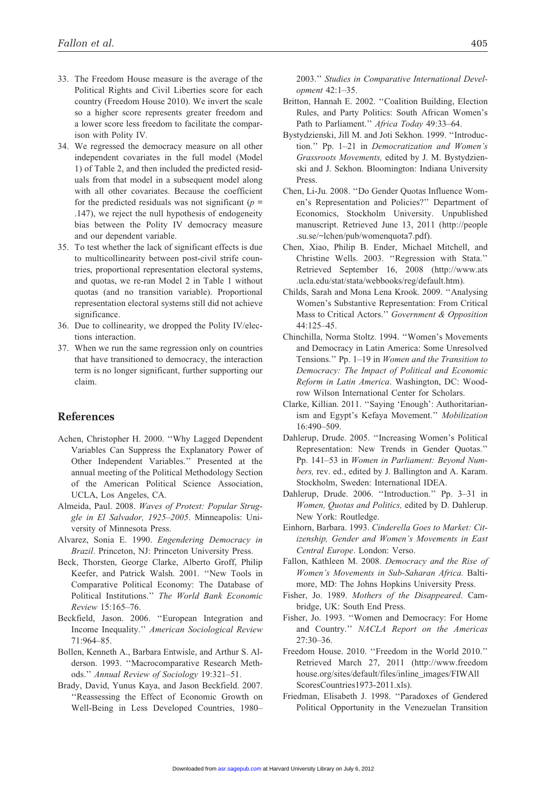- 33. The Freedom House measure is the average of the Political Rights and Civil Liberties score for each country (Freedom House 2010). We invert the scale so a higher score represents greater freedom and a lower score less freedom to facilitate the comparison with Polity IV.
- 34. We regressed the democracy measure on all other independent covariates in the full model (Model 1) of Table 2, and then included the predicted residuals from that model in a subsequent model along with all other covariates. Because the coefficient for the predicted residuals was not significant ( $p =$ .147), we reject the null hypothesis of endogeneity bias between the Polity IV democracy measure and our dependent variable.
- 35. To test whether the lack of significant effects is due to multicollinearity between post-civil strife countries, proportional representation electoral systems, and quotas, we re-ran Model 2 in Table 1 without quotas (and no transition variable). Proportional representation electoral systems still did not achieve significance.
- 36. Due to collinearity, we dropped the Polity IV/elections interaction.
- 37. When we run the same regression only on countries that have transitioned to democracy, the interaction term is no longer significant, further supporting our claim.

#### References

- Achen, Christopher H. 2000. ''Why Lagged Dependent Variables Can Suppress the Explanatory Power of Other Independent Variables.'' Presented at the annual meeting of the Political Methodology Section of the American Political Science Association, UCLA, Los Angeles, CA.
- Almeida, Paul. 2008. Waves of Protest: Popular Struggle in El Salvador, 1925–2005. Minneapolis: University of Minnesota Press.
- Alvarez, Sonia E. 1990. Engendering Democracy in Brazil. Princeton, NJ: Princeton University Press.
- Beck, Thorsten, George Clarke, Alberto Groff, Philip Keefer, and Patrick Walsh. 2001. ''New Tools in Comparative Political Economy: The Database of Political Institutions.'' The World Bank Economic Review 15:165–76.
- Beckfield, Jason. 2006. ''European Integration and Income Inequality.'' American Sociological Review 71:964–85.
- Bollen, Kenneth A., Barbara Entwisle, and Arthur S. Alderson. 1993. ''Macrocomparative Research Methods.'' Annual Review of Sociology 19:321–[51.](http://asr.sagepub.com/)
- Brady, David, Yunus Kaya, and Jason Beckfield. 2007. ''Reassessing the Effect of Economic Growth on Well-Being in Less Developed Countries, 1980–

2003.'' Studies in Comparative International Development 42:1–35.

- Britton, Hannah E. 2002. ''Coalition Building, Election Rules, and Party Politics: South African Women's Path to Parliament.'' Africa Today 49:33–64.
- Bystydzienski, Jill M. and Joti Sekhon. 1999. ''Introduction.'' Pp. 1–21 in Democratization and Women's Grassroots Movements, edited by J. M. Bystydzienski and J. Sekhon. Bloomington: Indiana University Press.
- Chen, Li-Ju. 2008. ''Do Gender Quotas Influence Women's Representation and Policies?'' Department of Economics, Stockholm University. Unpublished manuscript. Retrieved June 13, 2011 (http://people .su.se/~lchen/pub/womenquota7.pdf).
- Chen, Xiao, Philip B. Ender, Michael Mitchell, and Christine Wells. 2003. ''Regression with Stata.'' Retrieved September 16, 2008 (http://www.ats .ucla.edu/stat/stata/webbooks/reg/default.htm).
- Childs, Sarah and Mona Lena Krook. 2009. ''Analysing Women's Substantive Representation: From Critical Mass to Critical Actors.'' Government & Opposition 44:125–45.
- Chinchilla, Norma Stoltz. 1994. ''Women's Movements and Democracy in Latin America: Some Unresolved Tensions.'' Pp. 1–19 in Women and the Transition to Democracy: The Impact of Political and Economic Reform in Latin America. Washington, DC: Woodrow Wilson International Center for Scholars.
- Clarke, Killian. 2011. ''Saying 'Enough': Authoritarianism and Egypt's Kefaya Movement.'' Mobilization 16:490–509.
- Dahlerup, Drude. 2005. ''Increasing Women's Political Representation: New Trends in Gender Quotas.'' Pp. 141–53 in Women in Parliament: Beyond Numbers, rev. ed., edited by J. Ballington and A. Karam. Stockholm, Sweden: International IDEA.
- Dahlerup, Drude. 2006. ''Introduction.'' Pp. 3–31 in Women, Quotas and Politics, edited by D. Dahlerup. New York: Routledge.
- Einhorn, Barbara. 1993. Cinderella Goes to Market: Citizenship, Gender and Women's Movements in East Central Europe. London: Verso.
- Fallon, Kathleen M. 2008. Democracy and the Rise of Women's Movements in Sub-Saharan Africa. Baltimore, MD: The Johns Hopkins University Press.
- Fisher, Jo. 1989. Mothers of the Disappeared. Cambridge, UK: South End Press.
- Fisher, Jo. 1993. ''Women and Democracy: For Home and Country.'' NACLA Report on the Americas 27:30–36.
- Freedom House. 2010. ''Freedom in the World 2010.'' Retrieved March 27, 2011 (http://www.freedom house.org/sites/default/files/inline\_images/FIWAll ScoresCountries1973-2011.xls).
- Friedman, Elisabeth J. 1998. ''Paradoxes of Gendered Political Opportunity in the Venezuelan Transition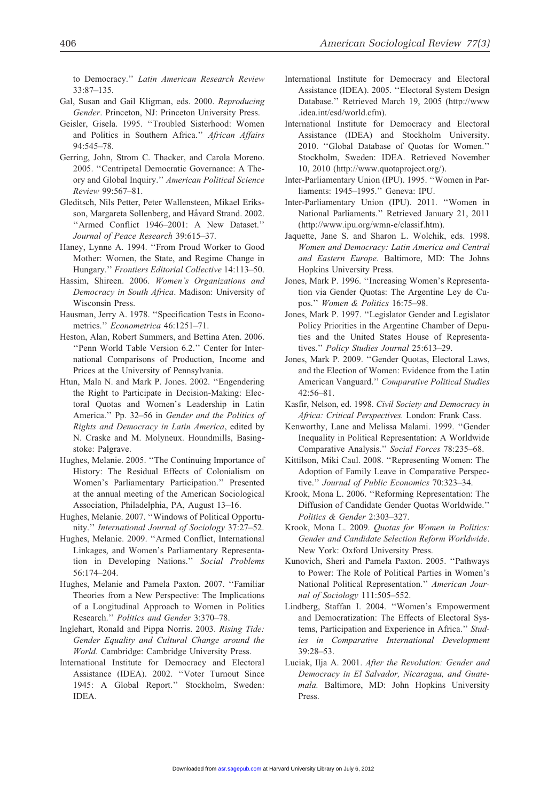to Democracy.'' Latin American Research Review 33:87–135.

- Gal, Susan and Gail Kligman, eds. 2000. Reproducing Gender. Princeton, NJ: Princeton University Press.
- Geisler, Gisela. 1995. ''Troubled Sisterhood: Women and Politics in Southern Africa.'' African Affairs 94:545–78.
- Gerring, John, Strom C. Thacker, and Carola Moreno. 2005. ''Centripetal Democratic Governance: A Theory and Global Inquiry.'' American Political Science Review 99:567–81.
- Gleditsch, Nils Petter, Peter Wallensteen, Mikael Eriksson, Margareta Sollenberg, and Håvard Strand. 2002. ''Armed Conflict 1946–2001: A New Dataset.'' Journal of Peace Research 39:615–37.
- Haney, Lynne A. 1994. ''From Proud Worker to Good Mother: Women, the State, and Regime Change in Hungary.'' Frontiers Editorial Collective 14:113–50.
- Hassim, Shireen. 2006. Women's Organizations and Democracy in South Africa. Madison: University of Wisconsin Press.
- Hausman, Jerry A. 1978. ''Specification Tests in Econometrics.'' Econometrica 46:1251–71.
- Heston, Alan, Robert Summers, and Bettina Aten. 2006. ''Penn World Table Version 6.2.'' Center for International Comparisons of Production, Income and Prices at the University of Pennsylvania.
- Htun, Mala N. and Mark P. Jones. 2002. ''Engendering the Right to Participate in Decision-Making: Electoral Quotas and Women's Leadership in Latin America.'' Pp. 32–56 in Gender and the Politics of Rights and Democracy in Latin America, edited by N. Craske and M. Molyneux. Houndmills, Basingstoke: Palgrave.
- Hughes, Melanie. 2005. ''The Continuing Importance of History: The Residual Effects of Colonialism on Women's Parliamentary Participation.'' Presented at the annual meeting of the American Sociological Association, Philadelphia, PA, August 13–16.
- Hughes, Melanie. 2007. ''Windows of Political Opportunity.'' International Journal of Sociology 37:27–52.
- Hughes, Melanie. 2009. ''Armed Conflict, International Linkages, and Women's Parliamentary Representation in Developing Nations.'' Social Problems 56:174–204.
- Hughes, Melanie and Pamela Paxton. 2007. ''Familiar Theories from a New Perspective: The Implications of a Longitudinal Approach to Women in Politics Research.'' Politics and Gender 3:370–78.
- Inglehart, Ronald and Pippa Norris. 2003. Rising Tide: Gender Equality and Cultural Change around the World. Cambridge: Cambridge University Press.
- International Institute for Democracy and Electoral Assistance (IDEA). 2002. ''Voter T[urnout Since](http://asr.sagepub.com/) 1945: A Global Report.'' Stockholm, Sweden: IDEA.
- International Institute for Democracy and Electoral Assistance (IDEA). 2005. ''Electoral System Design Database.'' Retrieved March 19, 2005 (http://www .idea.int/esd/world.cfm).
- International Institute for Democracy and Electoral Assistance (IDEA) and Stockholm University. 2010. ''Global Database of Quotas for Women.'' Stockholm, Sweden: IDEA. Retrieved November 10, 2010 (http://www.quotaproject.org/).
- Inter-Parliamentary Union (IPU). 1995. ''Women in Parliaments: 1945–1995.'' Geneva: IPU.
- Inter-Parliamentary Union (IPU). 2011. ''Women in National Parliaments.'' Retrieved January 21, 2011 (http://www.ipu.org/wmn-e/classif.htm).
- Jaquette, Jane S. and Sharon L. Wolchik, eds. 1998. Women and Democracy: Latin America and Central and Eastern Europe. Baltimore, MD: The Johns Hopkins University Press.
- Jones, Mark P. 1996. ''Increasing Women's Representation via Gender Quotas: The Argentine Ley de Cupos.'' Women & Politics 16:75–98.
- Jones, Mark P. 1997. ''Legislator Gender and Legislator Policy Priorities in the Argentine Chamber of Deputies and the United States House of Representatives.'' Policy Studies Journal 25:613–29.
- Jones, Mark P. 2009. ''Gender Quotas, Electoral Laws, and the Election of Women: Evidence from the Latin American Vanguard.'' Comparative Political Studies 42:56–81.
- Kasfir, Nelson, ed. 1998. Civil Society and Democracy in Africa: Critical Perspectives. London: Frank Cass.
- Kenworthy, Lane and Melissa Malami. 1999. ''Gender Inequality in Political Representation: A Worldwide Comparative Analysis.'' Social Forces 78:235–68.
- Kittilson, Miki Caul. 2008. ''Representing Women: The Adoption of Family Leave in Comparative Perspective.'' Journal of Public Economics 70:323–34.
- Krook, Mona L. 2006. ''Reforming Representation: The Diffusion of Candidate Gender Quotas Worldwide.'' Politics & Gender 2:303–327.
- Krook, Mona L. 2009. Quotas for Women in Politics: Gender and Candidate Selection Reform Worldwide. New York: Oxford University Press.
- Kunovich, Sheri and Pamela Paxton. 2005. ''Pathways to Power: The Role of Political Parties in Women's National Political Representation.'' American Journal of Sociology 111:505–552.
- Lindberg, Staffan I. 2004. ''Women's Empowerment and Democratization: The Effects of Electoral Systems, Participation and Experience in Africa.'' Studies in Comparative International Development 39:28–53.
- Luciak, Ilja A. 2001. After the Revolution: Gender and Democracy in El Salvador, Nicaragua, and Guatemala. Baltimore, MD: John Hopkins University Press.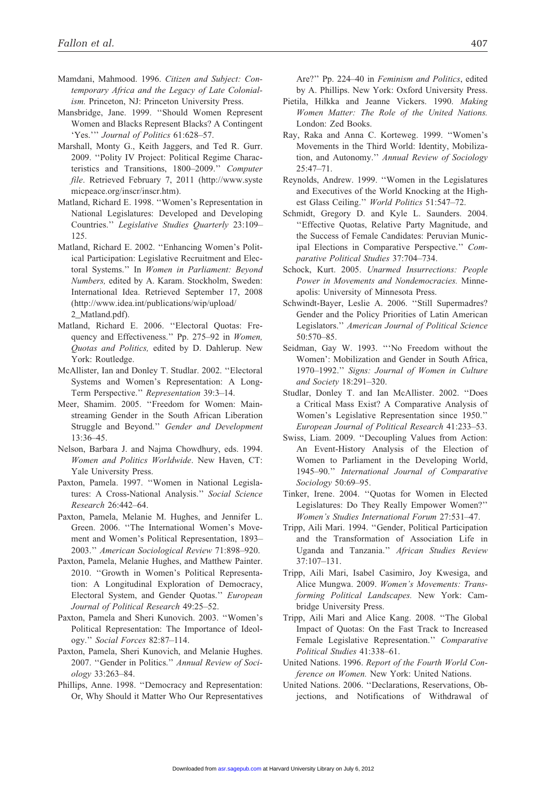- Mamdani, Mahmood. 1996. Citizen and Subject: Contemporary Africa and the Legacy of Late Colonialism. Princeton, NJ: Princeton University Press.
- Mansbridge, Jane. 1999. ''Should Women Represent Women and Blacks Represent Blacks? A Contingent 'Yes.''' Journal of Politics 61:628–57.
- Marshall, Monty G., Keith Jaggers, and Ted R. Gurr. 2009. ''Polity IV Project: Political Regime Characteristics and Transitions, 1800–2009.'' Computer file. Retrieved February 7, 2011 (http://www.syste micpeace.org/inscr/inscr.htm).
- Matland, Richard E. 1998. ''Women's Representation in National Legislatures: Developed and Developing Countries.'' Legislative Studies Quarterly 23:109– 125.
- Matland, Richard E. 2002. ''Enhancing Women's Political Participation: Legislative Recruitment and Electoral Systems.'' In Women in Parliament: Beyond Numbers, edited by A. Karam. Stockholm, Sweden: International Idea. Retrieved September 17, 2008 (http://www.idea.int/publications/wip/upload/ 2\_Matland.pdf).
- Matland, Richard E. 2006. ''Electoral Quotas: Frequency and Effectiveness.'' Pp. 275–92 in Women, Quotas and Politics, edited by D. Dahlerup. New York: Routledge.
- McAllister, Ian and Donley T. Studlar. 2002. ''Electoral Systems and Women's Representation: A Long-Term Perspective.'' Representation 39:3–14.
- Meer, Shamim. 2005. ''Freedom for Women: Mainstreaming Gender in the South African Liberation Struggle and Beyond.'' Gender and Development 13:36–45.
- Nelson, Barbara J. and Najma Chowdhury, eds. 1994. Women and Politics Worldwide. New Haven, CT: Yale University Press.
- Paxton, Pamela. 1997. ''Women in National Legislatures: A Cross-National Analysis.'' Social Science Research 26:442–64.
- Paxton, Pamela, Melanie M. Hughes, and Jennifer L. Green. 2006. ''The International Women's Movement and Women's Political Representation, 1893– 2003.'' American Sociological Review 71:898–920.
- Paxton, Pamela, Melanie Hughes, and Matthew Painter. 2010. ''Growth in Women's Political Representation: A Longitudinal Exploration of Democracy, Electoral System, and Gender Quotas.'' European Journal of Political Research 49:25–52.
- Paxton, Pamela and Sheri Kunovich. 2003. ''Women's Political Representation: The Importance of Ideology.'' Social Forces 82:87–114.
- Paxton, Pamela, Sheri Kunovich, and Melanie Hughes. 2007. ''Gender in Politics.'' Annual Review of Sociology 33:263–84.
- Phillips, Anne. 1998. ''Democracy and Re[presentation:](http://asr.sagepub.com/) Or, Why Should it Matter Who Our Representatives

Are?'' Pp. 224–40 in Feminism and Politics, edited by A. Phillips. New York: Oxford University Press.

- Pietila, Hilkka and Jeanne Vickers. 1990. Making Women Matter: The Role of the United Nations. London: Zed Books.
- Ray, Raka and Anna C. Korteweg. 1999. ''Women's Movements in the Third World: Identity, Mobilization, and Autonomy.'' Annual Review of Sociology 25:47–71.
- Reynolds, Andrew. 1999. ''Women in the Legislatures and Executives of the World Knocking at the Highest Glass Ceiling.'' World Politics 51:547–72.
- Schmidt, Gregory D. and Kyle L. Saunders. 2004. ''Effective Quotas, Relative Party Magnitude, and the Success of Female Candidates: Peruvian Municipal Elections in Comparative Perspective.'' Comparative Political Studies 37:704–734.
- Schock, Kurt. 2005. Unarmed Insurrections: People Power in Movements and Nondemocracies. Minneapolis: University of Minnesota Press.
- Schwindt-Bayer, Leslie A. 2006. ''Still Supermadres? Gender and the Policy Priorities of Latin American Legislators.'' American Journal of Political Science 50:570–85.
- Seidman, Gay W. 1993. '''No Freedom without the Women': Mobilization and Gender in South Africa, 1970–1992.'' Signs: Journal of Women in Culture and Society 18:291–320.
- Studlar, Donley T. and Ian McAllister. 2002. ''Does a Critical Mass Exist? A Comparative Analysis of Women's Legislative Representation since 1950.'' European Journal of Political Research 41:233–53.
- Swiss, Liam. 2009. ''Decoupling Values from Action: An Event-History Analysis of the Election of Women to Parliament in the Developing World, 1945–90.'' International Journal of Comparative Sociology 50:69–95.
- Tinker, Irene. 2004. ''Quotas for Women in Elected Legislatures: Do They Really Empower Women?'' Women's Studies International Forum 27:531–47.
- Tripp, Aili Mari. 1994. ''Gender, Political Participation and the Transformation of Association Life in Uganda and Tanzania.'' African Studies Review 37:107–131.
- Tripp, Aili Mari, Isabel Casimiro, Joy Kwesiga, and Alice Mungwa. 2009. Women's Movements: Transforming Political Landscapes. New York: Cambridge University Press.
- Tripp, Aili Mari and Alice Kang. 2008. ''The Global Impact of Quotas: On the Fast Track to Increased Female Legislative Representation.'' Comparative Political Studies 41:338–61.
- United Nations. 1996. Report of the Fourth World Conference on Women. New York: United Nations.
- United Nations. 2006. ''Declarations, Reservations, Objections, and Notifications of Withdrawal of